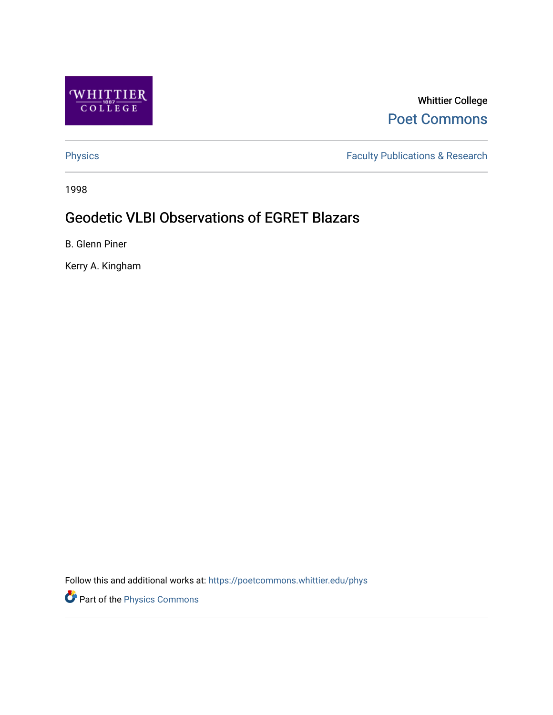

Whittier College [Poet Commons](https://poetcommons.whittier.edu/) 

[Physics](https://poetcommons.whittier.edu/phys) **Faculty Publications & Research Physics** 

1998

# Geodetic VLBI Observations of EGRET Blazars

B. Glenn Piner

Kerry A. Kingham

Follow this and additional works at: [https://poetcommons.whittier.edu/phys](https://poetcommons.whittier.edu/phys?utm_source=poetcommons.whittier.edu%2Fphys%2F14&utm_medium=PDF&utm_campaign=PDFCoverPages)

Part of the [Physics Commons](http://network.bepress.com/hgg/discipline/193?utm_source=poetcommons.whittier.edu%2Fphys%2F14&utm_medium=PDF&utm_campaign=PDFCoverPages)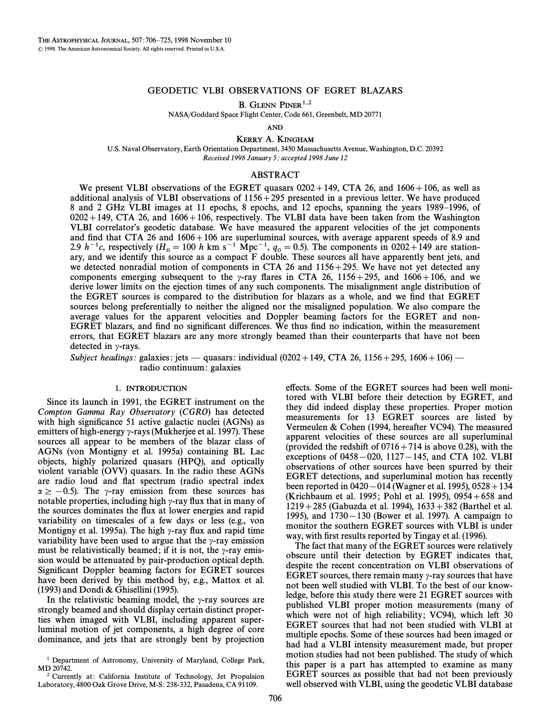# GEODETIC VLBI OBSERVATIONS OF EGRET BLAZARS

B. GLENN PINER<sup>1,2</sup>

NASA/Goddard Space Flight Center, Code 661, Greenbelt, MD 20771

AND

KERRY A. KINGHAM

U.S. Naval Observatory, Earth Orientation Department, 3450 Massachusetts Avenue, Washington, D.C. 20392 Received 1998 January 5; accepted 1998 June 12

#### ABSTRACT

We present VLBI observations of the EGRET quasars  $0202+149$ , CTA 26, and  $1606+106$ , as well as additional analysis of VLBI observations of  $1156 + 295$  presented in a previous letter. We have produced 8 and 2 GHz VLBI images at 11 epochs, 8 epochs, and 12 epochs, spanning the years 1989–1996, of  $0202+149$ , CTA 26, and  $1606+106$ , respectively. The VLBI data have been taken from the Washington VLBI correlator's geodetic database. We have measured the apparent velocities of the jet components and find that CTA 26 and  $1606+106$  are superluminal sources, with average apparent speeds of 8.9 and 2.9 h<sup>-1</sup>c, respectively (H<sub>0</sub> = 100 h km s<sup>-1</sup> Mpc<sup>-1</sup>,  $q_0 = 0.5$ ). The components in 0202+149 are station-<br>ary, and we identify this source as a compact F double. These sources all have apparently bent jets, and we detected nonradial motion of components in CTA 26 and  $1156 + 295$ . We have not yet detected any components emerging subsequent to the  $\gamma$ -ray flares in CTA 26, 1156+295, and 1606+106, and we derive lower limits on the ejection times of any such components. The misalignment angle distribution of the EGRET sources is compared to the distribution for blazars as a whole, and we find that EGRET sources belong preferentially to neither the aligned nor the misaligned population. We also compare the average values for the apparent velocities and Doppler beaming factors for the EGRET and non-EGRET blazars, and find no significant differences. We thus find no indication, within the measurement errors, that EGRET blazars are any more strongly beamed than their counterparts that have not been detected in  $\gamma$ -rays.

Subject headings: galaxies: jets — quasars: individual (0202+149, CTA 26, 1156+295, 1606+106) radio continuum: galaxies

# 1. INTRODUCTION

Since its launch in 1991, the EGRET instrument on the Compton Gamma Ray Observatory (CGRO) has detected with high significance 51 active galactic nuclei  $(AGNs)$  as emitters of high-energy  $\gamma$ -rays (Mukherjee et al. 1997). These sources all appear to be members of the blazar class of AGNs (von Montigny et al. 1995a) containing BL Lac objects, highly polarized quasars (HPQ), and optically violent variable (OVV) quasars. In the radio these AGNs are radio loud and Ñat spectrum (radio spectral index  $\alpha \ge -0.5$ ). The y-ray emission from these sources has notable properties, including high  $\gamma$ -ray flux that in many of the sources dominates the Ñux at lower energies and rapid variability on timescales of a few days or less (e.g., von Montigny et al. 1995a). The high  $\gamma$ -ray flux and rapid time variability have been used to argue that the  $\gamma$ -ray emission must be relativistically beamed; if it is not, the  $\gamma$ -ray emission would be attenuated by pair-production optical depth. Significant Doppler beaming factors for EGRET sources have been derived by this method by, e.g., Mattox et al. (1993) and Dondi & Ghisellini (1995).

In the relativistic beaming model, the  $\gamma$ -ray sources are strongly beamed and should display certain distinct properties when imaged with VLBI, including apparent superluminal motion of jet components, a high degree of core dominance, and jets that are strongly bent by projection effects. Some of the EGRET sources had been well monitored with VLBI before their detection by EGRET, and they did indeed display these properties. Proper motion measurements for 13 EGRET sources are listed by Vermeulen & Cohen (1994, hereafter VC94). The measured apparent velocities of these sources are all superluminal (provided the redshift of  $0716+714$  is above 0.28), with the exceptions of  $0458-020$ ,  $1127-145$ , and CTA 102. VLBI observations of other sources have been spurred by their EGRET detections, and superluminal motion has recently been reported in  $0420-014$  (Wagner et al. 1995),  $0528 + 134$ (Krichbaum et al. 1995; Pohl et al. 1995),  $0954+658$  and  $1219 + 285$  (Gabuzda et al. 1994),  $1633 + 382$  (Barthel et al. 1995), and  $1730-130$  (Bower et al. 1997). A campaign to monitor the southern EGRET sources with VLBI is under way, with first results reported by Tingay et al. (1996).

The fact that many of the EGRET sources were relatively obscure until their detection by EGRET indicates that, despite the recent concentration on VLBI observations of EGRET sources, there remain many  $\gamma$ -ray sources that have not been well studied with VLBI. To the best of our knowledge, before this study there were 21 EGRET sources with published VLBI proper motion measurements (many of which were not of high reliability; VC94), which left 30 EGRET sources that had not been studied with VLBI at multiple epochs. Some of these sources had been imaged or had had a VLBI intensity measurement made, but proper motion studies had not been published. The study of which this paper is a part has attempted to examine as many EGRET sources as possible that had not been previously well observed with VLBI, using the geodetic VLBI database

<sup>&</sup>lt;sup>1</sup> Department of Astronomy, University of Maryland, College Park, MD 20742.

<sup>2</sup> Currently at: California Institute of Technology, Jet Propulsion Laboratory, 4800 Oak Grove Drive, M-S: 238-332, Pasadena, CA 91109.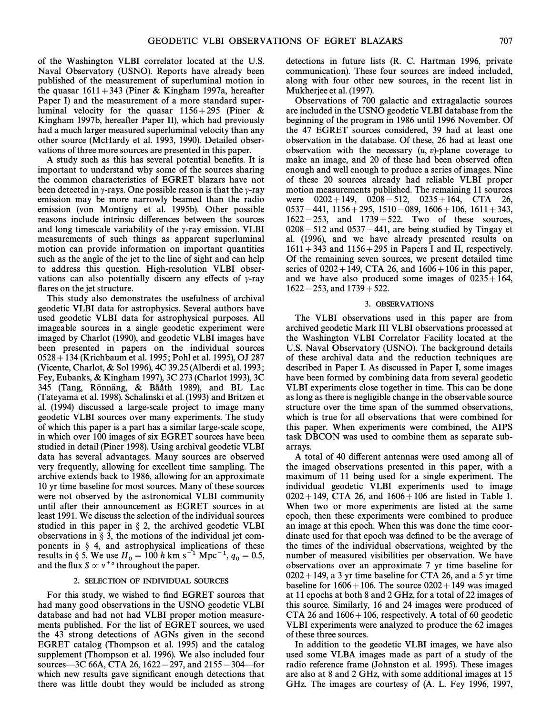of the Washington VLBI correlator located at the U.S. Naval Observatory (USNO). Reports have already been published of the measurement of superluminal motion in the quasar  $1611+343$  (Piner & Kingham 1997a, hereafter Paper I) and the measurement of a more standard superluminal velocity for the quasar  $1156+295$  (Piner & Kingham 1997b, hereafter Paper II), which had previously had a much larger measured superluminal velocity than any other source (McHardy et al. 1993, 1990). Detailed observations of three more sources are presented in this paper.

A study such as this has several potential benefits. It is important to understand why some of the sources sharing the common characteristics of EGRET blazars have not been detected in  $\gamma$ -rays. One possible reason is that the  $\gamma$ -ray emission may be more narrowly beamed than the radio emission (von Montigny et al. 1995b). Other possible reasons include intrinsic di†erences between the sources and long timescale variability of the  $\gamma$ -ray emission. VLBI measurements of such things as apparent superluminal motion can provide information on important quantities such as the angle of the jet to the line of sight and can help to address this question. High-resolution VLBI observations can also potentially discern any effects of  $\gamma$ -ray flares on the jet structure.

This study also demonstrates the usefulness of archival geodetic VLBI data for astrophysics. Several authors have used geodetic VLBI data for astrophysical purposes. All imageable sources in a single geodetic experiment were imaged by Charlot (1990), and geodetic VLBI images have been presented in papers on the individual sources 0528 + 134 (Krichbaum et al. 1995; Pohl et al. 1995), OJ 287 (Vicente, Charlot, & Sol 1996), 4C 39.25 (Alberdi et al. 1993; Fey, Eubanks, & Kingham 1997), 3C 273 (Charlot 1993), 3C 345 (Tang, Rönnäng, & Bååth 1989), and BL Lac (Tateyama et al. 1998). Schalinski et al. (1993) and Britzen et al. (1994) discussed a large-scale project to image many geodetic VLBI sources over many experiments. The study of which this paper is a part has a similar large-scale scope, in which over 100 images of six EGRET sources have been studied in detail (Piner 1998). Using archival geodetic VLBI data has several advantages. Many sources are observed very frequently, allowing for excellent time sampling. The archive extends back to 1986, allowing for an approximate 10 yr time baseline for most sources. Many of these sources were not observed by the astronomical VLBI community until after their announcement as EGRET sources in at least 1991. We discuss the selection of the individual sources studied in this paper in  $\S$  2, the archived geodetic VLBI observations in  $\S$  3, the motions of the individual jet components in  $\S$  4, and astrophysical implications of these results in § 5. We use  $H_0 = 100 h \text{ km s}^{-1} \text{ Mpc}^{-1}$ ,  $q_0 = 0.5$ , and the flux  $S \propto v^{+\alpha}$  throughout the paper.

### 2. SELECTION OF INDIVIDUAL SOURCES

For this study, we wished to find EGRET sources that had many good observations in the USNO geodetic VLBI database and had not had VLBI proper motion measurements published. For the list of EGRET sources, we used the 43 strong detections of AGNs given in the second EGRET catalog (Thompson et al. 1995) and the catalog supplement (Thompson et al. 1996). We also included four sources—3C 66A, CTA 26, 1622 – 297, and 2155 – 304—for which new results gave significant enough detections that there was little doubt they would be included as strong detections in future lists (R. C. Hartman 1996, private communication). These four sources are indeed included, along with four other new sources, in the recent list in Mukherjee et al. (1997).

Observations of 700 galactic and extragalactic sources are included in the USNO geodetic VLBI database from the beginning of the program in 1986 until 1996 November. Of the 47 EGRET sources considered, 39 had at least one observation in the database. Of these, 26 had at least one observation with the necessary  $(u, v)$ -plane coverage to make an image, and 20 of these had been observed often enough and well enough to produce a series of images. Nine of these 20 sources already had reliable VLBI proper motion measurements published. The remaining 11 sources were  $0202+149$ ,  $0208-512$ ,  $0235+164$ , CTA 26,  $0537 - 441$ ,  $1156 + 295$ ,  $1510 - 089$ ,  $1606 + 106$ ,  $1611 + 343$ ,  $1622-253$ , and  $1739+522$ . Two of these sources,  $0208 - 512$  and  $0537 - 441$ , are being studied by Tingay et al. (1996), and we have already presented results on  $1611 + 343$  and  $1156 + 295$  in Papers I and II, respectively. Of the remaining seven sources, we present detailed time series of  $0202 + 149$ , CTA 26, and  $1606 + 106$  in this paper, and we have also produced some images of  $0235+164$ ,  $1622 - 253$ , and  $1739 + 522$ .

#### 3. OBSERVATIONS

The VLBI observations used in this paper are from archived geodetic Mark III VLBI observations processed at the Washington VLBI Correlator Facility located at the U.S. Naval Observatory (USNO). The background details of these archival data and the reduction techniques are described in Paper I. As discussed in Paper I, some images have been formed by combining data from several geodetic VLBI experiments close together in time. This can be done as long as there is negligible change in the observable source structure over the time span of the summed observations, which is true for all observations that were combined for this paper. When experiments were combined, the AIPS task DBCON was used to combine them as separate subarrays.

A total of 40 different antennas were used among all of the imaged observations presented in this paper, with a maximum of 11 being used for a single experiment. The individual geodetic VLBI experiments used to image  $0202 + 149$ , CTA 26, and  $1606 + 106$  are listed in Table 1. When two or more experiments are listed at the same epoch, then these experiments were combined to produce an image at this epoch. When this was done the time coordinate used for that epoch was defined to be the average of the times of the individual observations, weighted by the number of measured visibilities per observation. We have observations over an approximate 7 yr time baseline for  $0202 + 149$ , a 3 yr time baseline for CTA 26, and a 5 yr time baseline for  $1606+106$ . The source  $0202+149$  was imaged at 11 epochs at both 8 and 2 GHz, for a total of 22 images of this source. Similarly, 16 and 24 images were produced of CTA 26 and  $1606 + 106$ , respectively. A total of 60 geodetic VLBI experiments were analyzed to produce the 62 images of these three sources.

In addition to the geodetic VLBI images, we have also used some VLBA images made as part of a study of the radio reference frame (Johnston et al. 1995). These images are also at 8 and 2 GHz, with some additional images at 15 GHz. The images are courtesy of (A. L. Fey 1996, 1997,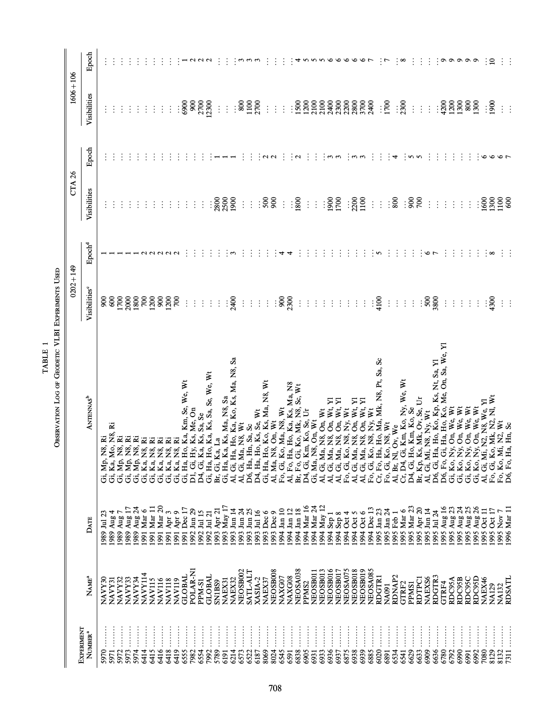| $\ddot{\phantom{0}}$<br>٦<br>TARIF<br>$\frac{1}{2}$ or or $\frac{1}{2}$ |
|-------------------------------------------------------------------------|
|-------------------------------------------------------------------------|

|               | Epoch                                |                                   |                          |                                         |                            |             |                                                                                                                                                                                                                      |               |                                                                |               |               |            |           |                        |                |                               |             |             |                           |                   |                          |              |                                                                                                                                                                                                                                                     |                    |                              |                 |             |                 |            |                                                                                                                                                                                                                                           |                     |               |             |             |                           |                    |                           |              |             |                  |                       |             |        |                                                                         |          |                  |                                      |              |                                                             |
|---------------|--------------------------------------|-----------------------------------|--------------------------|-----------------------------------------|----------------------------|-------------|----------------------------------------------------------------------------------------------------------------------------------------------------------------------------------------------------------------------|---------------|----------------------------------------------------------------|---------------|---------------|------------|-----------|------------------------|----------------|-------------------------------|-------------|-------------|---------------------------|-------------------|--------------------------|--------------|-----------------------------------------------------------------------------------------------------------------------------------------------------------------------------------------------------------------------------------------------------|--------------------|------------------------------|-----------------|-------------|-----------------|------------|-------------------------------------------------------------------------------------------------------------------------------------------------------------------------------------------------------------------------------------------|---------------------|---------------|-------------|-------------|---------------------------|--------------------|---------------------------|--------------|-------------|------------------|-----------------------|-------------|--------|-------------------------------------------------------------------------|----------|------------------|--------------------------------------|--------------|-------------------------------------------------------------|
| $1606 + 106$  | Visibilities                         |                                   |                          |                                         |                            |             |                                                                                                                                                                                                                      |               |                                                                |               |               |            |           |                        | $\vdots$       | $\vdots$                      | ႜၟ          |             | 1100<br>2700              | $\vdots$          | $\vdots$                 | $\vdots$     |                                                                                                                                                                                                                                                     |                    | : 8888888888<br>: 5355888888 |                 |             |                 |            |                                                                                                                                                                                                                                           |                     |               |             | : 500       |                           | $\frac{1}{2300}$   |                           | $\vdots$     | $\pm$       | $\vdots$         |                       |             |        | $:$ $88888$                                                             |          |                  | $\frac{1}{2}$                        |              |                                                             |
|               | Epoch                                |                                   |                          |                                         |                            |             |                                                                                                                                                                                                                      |               |                                                                |               |               |            |           |                        |                |                               |             |             |                           |                   |                          |              |                                                                                                                                                                                                                                                     |                    |                              |                 |             |                 |            |                                                                                                                                                                                                                                           |                     |               |             |             |                           | 4                  |                           |              |             |                  |                       |             |        |                                                                         |          |                  |                                      |              |                                                             |
| <b>CTA 26</b> | Visibilities                         |                                   |                          |                                         |                            |             |                                                                                                                                                                                                                      |               |                                                                |               |               |            |           |                        |                | $\frac{1888}{2322}$           |             | $\vdots$    | $\ddot{\ddot{\cdot}}$     |                   | $\frac{500}{200}$        | $\vdots$     |                                                                                                                                                                                                                                                     | $\frac{180}{1800}$ |                              | $\frac{1}{2}$ . |             | $\frac{188}{5}$ |            |                                                                                                                                                                                                                                           | $\frac{1300}{1100}$ |               | $\vdots$    | $\pm$       | : နွ                      |                    |                           | ∶ଛଁ ≷        |             | $\vdots$         | $\ddot{\ddot{\cdot}}$ | $\vdots$    |        | $\vdots$                                                                |          |                  |                                      |              | <b>8898</b>                                                 |
|               | ${\rm Epool^d}$                      |                                   |                          |                                         |                            |             |                                                                                                                                                                                                                      |               |                                                                |               |               |            |           |                        |                |                               |             |             |                           |                   |                          |              |                                                                                                                                                                                                                                                     |                    |                              |                 |             |                 |            |                                                                                                                                                                                                                                           |                     |               |             |             |                           |                    |                           |              |             |                  |                       |             |        |                                                                         |          |                  |                                      |              |                                                             |
| $0202 + 149$  | Visibilities <sup>°</sup>            |                                   |                          | 88828828282                             |                            |             |                                                                                                                                                                                                                      |               |                                                                |               | $\vdots$      | $\vdots$   | $\vdots$  | $\div$                 |                | 2400<br>$\vdots$              |             | $\vdots$    | $\vdots$<br>$\frac{1}{2}$ | $\ddot{\ddot{z}}$ |                          |              | : 88                                                                                                                                                                                                                                                | $\vdots$           | $\frac{1}{2}$                | $\vdots$        | $\vdots$    | $\vdots$        | $\vdots$   | $\vdots$                                                                                                                                                                                                                                  | $\frac{1}{2}$       | $\frac{1}{2}$ | $\vdots$ \$ |             | $\frac{1}{2}$             | $\frac{1}{2}$      | $\div$                    | $\div$       |             | $\frac{1}{2588}$ |                       | $\vdots$    |        | $\vdots$                                                                | $\vdots$ | $\vdots$         | $\begin{array}{c} .90 \ \end{array}$ |              |                                                             |
|               | <b>ANTENNAS</b> <sup>b</sup>         | Gi, Mp, N8, Ri<br>Gi, Ka, Mo, N8, | ž                        | s.<br>Ž<br>ž.<br>Gi, Mp, N<br>Gi, Mp, N | Gi, Mp, N                  | Gi, Ka, N8, | Gi, Ka, N8, Ri<br>Gi, Ka, N8, Ri<br>Gi, Ka, N8, Ri<br>Gi, Ka, N8, Ri<br>Gi, Ha, Ho, Ka, Km, Se, We, Wt<br>D1, Gi, Ha, Ho, Ka, Ka, Sa, Se<br>Ci, Ha, Ho, Ka, Ka, Sa, Se, We, Wi<br>Ci, Ha, Ho, Ka, Ka, Sa, Se, We, Wi |               |                                                                |               |               |            |           | Ka, Ks, Sa, Se, We, Wt | Br, Gi, Ka, La | Ks, Ma, N8, Sa<br>Gi, Ha, Ka, |             |             |                           |                   |                          |              | Al, Gi, Ha, Ho, Ka, Ko, Ks, Ma, N8, Sa<br>Al, Gi, Ma, N8, Wt<br>D6, Ha, Hn, Sa, Sc, Wt<br>D6, Ha, Hn, Sa, Sc, Wt<br>Gi, Ha, Ho, Ks, Se, Wt<br>Al, Ha, Ho, Ko, Ks, Ma, N8, Wt<br>Al, Gi, Ko, Ca, Ka, Na, N8, Na, N8<br>D4, Gi, Kn, Ko, Mk, N8, Sc, W |                    |                              |                 |             |                 |            | A1, Gi, M, N, Ci, W, Wt, A1, Gi, M, N, Ci, M, N, Y, Y, H, A1, Gi, M, N, On, Wt, Y<br>A1, Gi, Ma, N8, On, Wt, Y1<br>A1, Gi, Ma, N8, On, Wt, Y1<br>Fo, Gi, Ko, N8, N9, Wt, Wt, M, Gi, Ma, N8, On, Wt, Y1<br>A1, Gi, Ma, N8, On, Wt, Wt, Wt, |                     |               |             |             |                           |                    |                           |              |             |                  |                       |             |        |                                                                         |          | i, N2, N8, We, Y | ₹<br>o, Mk, N2, Nl,<br>AI, Gi, M     |              | Fo, Gi, Ko, Mk, I<br>Fo, Ko, Mi, N2, V<br>D6, Fo, Ha, Hn, S |
|               | DATE                                 | 1989 Jul 23                       | 1989 Aug 4<br>1989 Aug 7 |                                         | 1989 Aug 17<br>1989 Aug 24 | 1991 Mar 6  | 1991 Mar 11                                                                                                                                                                                                          | 1991 Mar 20   | 1991 Apr 3<br>1991 Apr 9                                       |               | 1991 Dec 17   | 992 Jun 29 | 15 lul 19 | 1992 Jul 21            | 1993 Apr 21    | 17 ya May<br>1993 Jun 14      | 1993 Jun 24 | 1993 Jun 25 | 1993 Jul 16               |                   | 1993 Dec 6<br>1993 Dec 9 | 01 nat 1994  | 1994 Jan 12                                                                                                                                                                                                                                         | 1994 Jan 18        | 1994 Mar 16<br>1994 Mar 24   |                 | 1994 May 12 | 1 dag 1661      | 1994 Sep 8 | 1994 Oct 4                                                                                                                                                                                                                                | 1994 Oct 5          | 1994 Oct 6    | 1994 Dec 13 | 1995 Jan 23 | 1995 Jan 24<br>1995 Feb 1 |                    | 1995 Mar 6<br>1995 Mar 23 |              | 1995 Apr 20 | 1995 Jun 14      | 1995 Jul 24           | 1995 Aug 16 |        | 1995 Aug 23<br>1995 Aug 24<br>1995 Aug 25<br>1995 Aug 26<br>1995 Aug 26 |          | 1995 Oct 11      | 1995 Oct 17                          |              | 1995 Nov 7<br>1996 Mar 11                                   |
|               | $N$ AME $^a$                         | NAVY30<br>NAVY31                  |                          | NAVY33<br>NAVY32                        | NAVY34                     | NAVY114     | <b>NAV115</b>                                                                                                                                                                                                        | <b>NAV116</b> | <b>NAV118</b>                                                  | <b>NAV119</b> | <b>GLOBAL</b> | POLAR-NI   | PPM-S1    | <b>GLOBAL</b>          | <b>SN1BS9</b>  | NAEX32<br>NAEX31              | NEOSB002    | SATL-ALT    | XASIA-2                   | NAEX37            | NEOSB008                 | NAXG07       | NAXG08                                                                                                                                                                                                                                              | NEOSA038           | PPMS <sub>2</sub>            | NEOSB011        | NEOSB013    | NEOSB016        | NEOSB017   | NEOSA075                                                                                                                                                                                                                                  | NEOSB018            | NEOSB019      | NEOSA085    | RDGTR1      | NA091                     | RDNAP <sub>2</sub> | GTRF2                     | <b>PPMS1</b> | RDTPCI      | NAEXS6           | RDGTR3                | GTRF4       | RDC95A | RDC95B                                                                  | RDC95C   | RDC95D<br>NAEX46 | <b>NA129</b>                         | <b>NA132</b> | RDSATI                                                      |
|               | EXPERIMENT<br>$N$ UMBER <sup>a</sup> | 5970                              | 5971                     | 5972<br>5973                            | 5974                       | 6414        | 6415                                                                                                                                                                                                                 |               | $\begin{array}{c}\n 418 \\ 419 \\ \hline\n 6419\n \end{array}$ |               | 6555          | 7982       | 6554      | 7992                   | 5789<br>6191   | 6214                          | 6573        | 6522        | 6187                      | 8069              |                          | 8024<br>6545 | 6591                                                                                                                                                                                                                                                |                    | 6838<br>6905                 | 6931            | 6933        | 6937            |            | 6875                                                                                                                                                                                                                                      | 6938                |               | 6885        | 6020        | 6891                      | 6534               | 6541                      | 6629         | 6633        | 6909             | 6636                  | 6780        | 6792   | 6990                                                                    | 6991     | 6992<br>7080     | 8129                                 | 8132.        | 7311                                                        |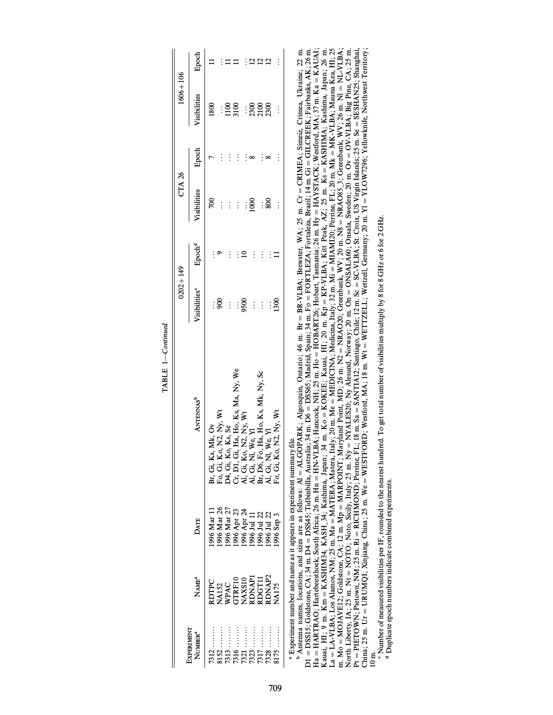|                                   |                                                                                            |                                                                                        |                                                                                                                                                                                                                | $0202 + 149$              |                    | CTA 26              |          | $1606 + 106$        |          |
|-----------------------------------|--------------------------------------------------------------------------------------------|----------------------------------------------------------------------------------------|----------------------------------------------------------------------------------------------------------------------------------------------------------------------------------------------------------------|---------------------------|--------------------|---------------------|----------|---------------------|----------|
| EXPERIMENT<br>NUMBER <sup>a</sup> | NAME <sup>a</sup>                                                                          | DATE                                                                                   | ANTENNAS <sup>b</sup>                                                                                                                                                                                          | Visibilities <sup>°</sup> | Epcch <sup>d</sup> | <b>Tisibilities</b> | Epoch    | Visibilities        | Epoch    |
| $7312$                            |                                                                                            | 1996 Mar 11                                                                            |                                                                                                                                                                                                                | $\vdots$                  |                    |                     |          |                     |          |
| $8152$                            |                                                                                            | 1996 Mar 26                                                                            |                                                                                                                                                                                                                | 90C                       |                    | $\vdots$            | $\vdots$ | $\vdots$            |          |
| $7313$                            |                                                                                            | 1996 Mar 27                                                                            |                                                                                                                                                                                                                |                           | $\vdots$           | $\vdots$            | $\vdots$ |                     |          |
| $7316$                            |                                                                                            |                                                                                        |                                                                                                                                                                                                                | $\vdots$<br>$\vdots$      | $\vdots$           | $\vdots$            | $\vdots$ | $\frac{1100}{3100}$ |          |
|                                   |                                                                                            |                                                                                        |                                                                                                                                                                                                                | 9500                      |                    | $\vdots$            |          |                     |          |
| $7323$                            |                                                                                            |                                                                                        |                                                                                                                                                                                                                | $\vdots$                  | $\vdots$           | 1000                |          |                     |          |
| $7317$                            | RDTPC<br>NA132<br>NPAC<br>WPAC<br>GTRF10<br>GTRF10<br>RDNAP1<br>RDNAP1<br>RDNAP2<br>RDNAP2 | 1996 Apr 23<br>1996 Apr 24<br>1996 Jul 11<br>1996 Jul 22                               | Br, Gi, Ks, Mk, Ov<br>Fo, Gi, Ko, N2, Ny, Wt<br>D4, Gi, Ko, Ks, Se<br>Cr, D1, Gi, Ha, Ho, Ks, Ma, Ny, We<br>A1, Gi, No, N2, Ny, Wt<br>A1, D6, Fo, Ha, Ho, Ks, Mk, Ny, Sc<br>A1, D6, Fo, Ha, Ho, Ks, Mk, Ny, Sc | $\vdots$                  | $\vdots$           | $\vdots$            | $\vdots$ | : និទ្ធ<br>: ដូនី   |          |
| 7328                              |                                                                                            | 1996 Jul 22                                                                            |                                                                                                                                                                                                                | $\vdots$                  |                    | 800                 | $\infty$ |                     |          |
| $8175$                            |                                                                                            | 1996 Sep 3                                                                             | A1, Gi, N1, We, Y1<br>Fo, Gi, Ko, N2, Ny, W1                                                                                                                                                                   | $\frac{300}{2}$           | $\equiv$           | $\vdots$            | $\vdots$ | $\vdots$            | $\vdots$ |
|                                   |                                                                                            | <u>a Filmania at a lan da a dan an a t</u> homa an an ann ann an an ann an t-ann an a- |                                                                                                                                                                                                                |                           |                    |                     |          |                     |          |

 $\texttt{TABLE 1—Continued}$ TABLE 1 $—Continued$ 

> abExperiment number and name as it appears in experiment summary Ðle.

 $\degree$  Antenna names, locations, and sizes are as follows: Al = ALGOPARK; Algonquin, Ontario; 46 m. Br $\equiv$  BR-VLBA; Brewster, WA; 25 m. Cr = CRIMEA; Simeiz, Crimea, Ukraine; 22 m. D1 = DSS15; Goldstone, CA; 34 m. D4 = DSS45; Tidbinbilla, Australia; 34 m. D6 = DSS65; Madrid, Spain; 34 m. Fo = FORTLEZA; Fortaleza, Brazil; 14 m. Gi $\equiv$  GILCREEK; Fairbanks, AK; 26 m.  $Ha = HARTRAO; Hartebesthoek, South Africa; 26 m. Hm = HN-VLBA; Hanoock, NH; 25 m. Ho = HOBART26; Hobart, Tsamania; 26 m. Hy = HAYSTACK; Westord, MA; 37 m. Ka = KAUAI; H$ Kauai, HI; 9 m. Km = KASHIM34, KASH\_34; Kashima, Japan; 34 m. Ko = KOKEE; Kauai, HI; 20 m. Kp = KP-VLBA; Kitt Peak, AZ; 25 m. Ks = KASHIMA; Kashima, Japan; 26 m. La = LA-VLBA; Los Alamos, NM; 25 m. Ma = MATERA; Matera, Italy; 20 m. Me = MEDICINA; Medicina, Italy; 32 m. Mi = MIAMI20; Perrine, FL; 20 m. Mk = MK-VLBA; Mauna Kea, HI; 25 m. Mo = MOJAVE12; Goldstone, CA; 12 m. Mp = MARPOINT; Maryland Point, MD; 26 m. N2 = NRAO20; Greenbank, WV; 36 m. New NRAO85–3; Greenbank, WV; 26 m. Nl = NL-VLBA; North Liberty, IA; 25 m. Nt = NOTO; Noto, Sicily, Italy; 25 m. Ny = NYALES20; Ny Alesund, Norway; 20 m. On = ONSALA60; Onsala, Sweden; 20 m. Ov = OV-VLBA; Big Pine, CA; 25 m.  $\Pr = \text{PIETOWN}, \text{NM}; 25 \text{ m. Ri} = \text{RICHMOND}; \text{Perine}, \text{FI}; 18 \text{ m. Sa} = \text{SANTIA12}; \text{Sartiago}, \text{Chile}; 12 \text{ m. Se} = \text{SC-VIBA}, \text{St. Si} \cdot \text{SIA} = \text{NSEHAN25}; \text{Shanghai}, \text{St. Si} \cdot \text{SIA} = \text{NSEHAN25}; \text{Shanghal} \cdot \text{SIA} = \text{NSEHAN25}; \text{St. Si} \cdot \text{SIA} = \text{NSEHAN25}; \text{St. Si} \$ China; 25 m. Ur = URUMQI; Xinjiang, China; 25 m. We $\epsilon$ = WESTFORD; Westford, MA; 18 m. Wt = WEITZELL; Wettzell, Germany; 20 m. Yl = YLOW7296; Yellowknife, Northwest Territory; 10 m.

° Number of measured visibilities per IF, rounded to the nearest hundred. To get total number of visibilities multiply by 8 for 8 GHz or 6 for 2 GHz. Number of measured visibilities per IF, rounded to the nearest hundred. To get total number of visibilities multiply by 8 for 8 GHz or 6 for 2 GHz.

<sup>d</sup> Duplicate epoch numbers indicate combined experiments. Duplicate epoch numbers indicate combined experiments.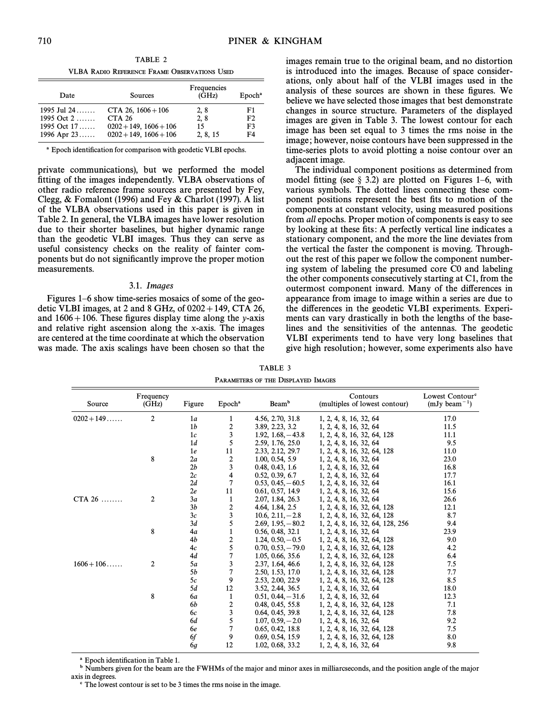TABLE 2 VLBA RADIO REFERENCE FRAME OBSERVATIONS USED

| Date          | Sources                     | Frequencies<br>(GHz) | Epoch <sup>a</sup> |
|---------------|-----------------------------|----------------------|--------------------|
| 1995 Jul 24   | CTA 26, $1606 + 106$        | 2, 8                 | F1                 |
| 1995 Oct $2$  | <b>CTA 26</b>               | 2, 8                 | F <sub>2</sub>     |
| 1995 Oct $17$ | $0202 + 149$ , $1606 + 106$ | 15                   | F3                 |
| 1996 Apr $23$ | $0202 + 149$ , $1606 + 106$ | 2, 8, 15             | F4                 |

<sup>a</sup> Epoch identification for comparison with geodetic VLBI epochs.

private communications), but we performed the model fitting of the images independently. VLBA observations of other radio reference frame sources are presented by Fey, Clegg,  $&$  Fomalont (1996) and Fey  $&$  Charlot (1997). A list of the VLBA observations used in this paper is given in Table 2. In general, the VLBA images have lower resolution due to their shorter baselines, but higher dynamic range than the geodetic VLBI images. Thus they can serve as useful consistency checks on the reality of fainter components but do not significantly improve the proper motion measurements.

### 3.1. Images

Figures  $1-6$  show time-series mosaics of some of the geodetic VLBI images, at 2 and 8 GHz, of  $0202 + 149$ , CTA 26, and  $1606 + 106$ . These figures display time along the y-axis and relative right ascension along the x-axis. The images are centered at the time coordinate at which the observation was made. The axis scalings have been chosen so that the images remain true to the original beam, and no distortion is introduced into the images. Because of space considerations, only about half of the VLBI images used in the analysis of these sources are shown in these figures. We believe we have selected those images that best demonstrate changes in source structure. Parameters of the displayed images are given in Table 3. The lowest contour for each image has been set equal to 3 times the rms noise in the image; however, noise contours have been suppressed in the time-series plots to avoid plotting a noise contour over an adjacent image.

The individual component positions as determined from model fitting (see  $\S$  3.2) are plotted on Figures 1–6, with various symbols. The dotted lines connecting these component positions represent the best fits to motion of the components at constant velocity, using measured positions from all epochs. Proper motion of components is easy to see by looking at these fits: A perfectly vertical line indicates a stationary component, and the more the line deviates from the vertical the faster the component is moving. Throughout the rest of this paper we follow the component numbering system of labeling the presumed core C0 and labeling the other components consecutively starting at C1, from the outermost component inward. Many of the di†erences in appearance from image to image within a series are due to the differences in the geodetic VLBI experiments. Experiments can vary drastically in both the lengths of the baselines and the sensitivities of the antennas. The geodetic VLBI experiments tend to have very long baselines that give high resolution; however, some experiments also have

| Source       | Frequency<br>(GHz) | Figure         | Epoch <sup>a</sup>      | Beam <sup>b</sup>   | Contours<br>(multiples of lowest contour) | Lowest Contour <sup>e</sup><br>$(mJy beam^{-1})$ |
|--------------|--------------------|----------------|-------------------------|---------------------|-------------------------------------------|--------------------------------------------------|
| $0202 + 149$ | 2                  | 1a             | 1                       | 4.56, 2.70, 31.8    | 1, 2, 4, 8, 16, 32, 64                    | 17.0                                             |
|              |                    | 1 <sub>b</sub> | 2                       | 3.89, 2.23, 3.2     | 1, 2, 4, 8, 16, 32, 64                    | 11.5                                             |
|              |                    | 1c             | 3                       | $1.92, 1.68, -43.8$ | 1, 2, 4, 8, 16, 32, 64, 128               | 11.1                                             |
|              |                    | 1d             | 5                       | 2.59, 1.76, 25.0    | 1, 2, 4, 8, 16, 32, 64                    | 9.5                                              |
|              |                    | 1e             | 11                      | 2.33, 2.12, 29.7    | 1, 2, 4, 8, 16, 32, 64, 128               | 11.0                                             |
|              | 8                  | 2a             | $\boldsymbol{2}$        | 1.00, 0.54, 5.9     | 1, 2, 4, 8, 16, 32, 64                    | 23.0                                             |
|              |                    | 2b             | 3                       | 0.48, 0.43, 1.6     | 1, 2, 4, 8, 16, 32, 64                    | 16.8                                             |
|              |                    | 2c             | 4                       | 0.52, 0.39, 6.7     | 1, 2, 4, 8, 16, 32, 64                    | 17.7                                             |
|              |                    | 2d             | 7                       | $0.53, 0.45, -60.5$ | 1, 2, 4, 8, 16, 32, 64                    | 16.1                                             |
|              |                    | 2e             | 11                      | 0.61, 0.57, 14.9    | 1, 2, 4, 8, 16, 32, 64                    | 15.6                                             |
| $CTA 26$     | 2                  | 3a             | $\mathbf{1}$            | 2.07, 1.84, 26.3    | 1, 2, 4, 8, 16, 32, 64                    | 26.6                                             |
|              |                    | 3b             | $\overline{\mathbf{c}}$ | 4.64, 1.84, 2.5     | 1, 2, 4, 8, 16, 32, 64, 128               | 12.1                                             |
|              |                    | 3c             | 3                       | $10.6, 2.11, -2.8$  | 1, 2, 4, 8, 16, 32, 64, 128               | 8.7                                              |
|              |                    | 3d             | 5                       | $2.69, 1.95, -80.2$ | 1, 2, 4, 8, 16, 32, 64, 128, 256          | 9.4                                              |
|              | 8                  | 4a             | $\mathbf{1}$            | 0.56, 0.48, 32.1    | 1, 2, 4, 8, 16, 32, 64                    | 23.9                                             |
|              |                    | 4b             | 2                       | $1.24, 0.50, -0.5$  | 1, 2, 4, 8, 16, 32, 64, 128               | 9.0                                              |
|              |                    | 4c             | 5                       | $0.70, 0.53, -79.0$ | 1, 2, 4, 8, 16, 32, 64, 128               | 4.2                                              |
|              |                    | 4d             | $\overline{7}$          | 1.05, 0.66, 35.6    | 1, 2, 4, 8, 16, 32, 64, 128               | 6.4                                              |
| $1606 + 106$ | 2                  | 5a             | 3                       | 2.37, 1.64, 46.6    | 1, 2, 4, 8, 16, 32, 64, 128               | 7.5                                              |
|              |                    | 5b             | 7                       | 2.50, 1.53, 17.0    | 1, 2, 4, 8, 16, 32, 64, 128               | 7.7                                              |
|              |                    | 5c             | 9                       | 2.53, 2.00, 22.9    | 1, 2, 4, 8, 16, 32, 64, 128               | 8.5                                              |
|              |                    | 5d             | 12                      | 3.52, 2.44, 36.5    | 1, 2, 4, 8, 16, 32, 64                    | 18.0                                             |
|              | 8                  | <b>6a</b>      | $\mathbf{1}$            | $0.51, 0.44, -31.6$ | 1, 2, 4, 8, 16, 32, 64                    | 12.3                                             |
|              |                    | 6b             | $\boldsymbol{2}$        | 0.48, 0.45, 55.8    | 1, 2, 4, 8, 16, 32, 64, 128               | 7.1                                              |
|              |                    | 6c             | 3                       | 0.64, 0.45, 39.8    | 1, 2, 4, 8, 16, 32, 64, 128               | 7.8                                              |
|              |                    | 6d             | 5                       | $1.07, 0.59, -2.0$  | 1, 2, 4, 8, 16, 32, 64                    | 9.2                                              |
|              |                    | 6e             | $\overline{7}$          | 0.65, 0.42, 18.8    | 1, 2, 4, 8, 16, 32, 64, 128               | 7.5                                              |
|              |                    | 6f             | 9                       | 0.69, 0.54, 15.9    | 1, 2, 4, 8, 16, 32, 64, 128               | 8.0                                              |
|              |                    | 6q             | 12                      | 1.02, 0.68, 33.2    | 1, 2, 4, 8, 16, 32, 64                    | 9.8                                              |

TABLE 3

<sup>a</sup> Epoch identification in Table 1.

b Numbers given for the beam are the FWHMs of the major and minor axes in milliarcseconds, and the position angle of the major axis in degrees.

c The lowest contour is set to be 3 times the rms noise in the image.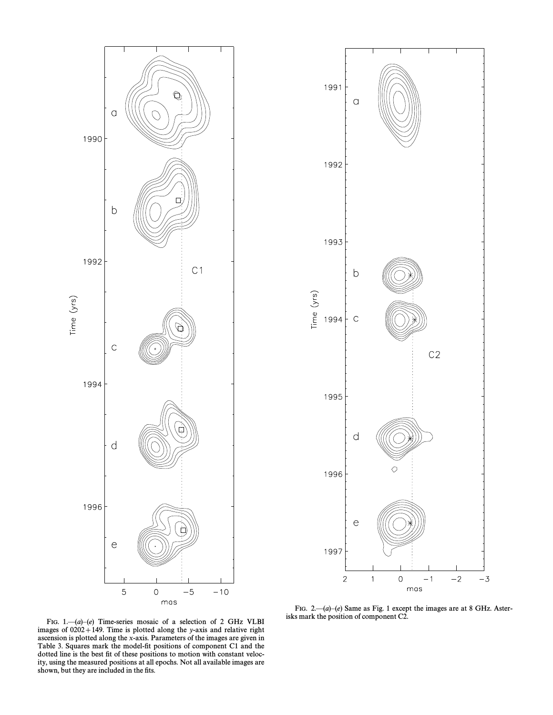



FIG. 2.  $-(a)-(e)$  Same as Fig. 1 except the images are at 8 GHz. Asterisks mark the position of component C2.

FIG. 1.— $(a)$ – $(e)$  Time-series mosaic of a selection of 2 GHz VLBI images of  $0202+149$ . Time is plotted along the y-axis and relative right ascension is plotted along the x-axis. Parameters of the images are given in Table 3. Squares mark the model-fit positions of component C1 and the dotted line is the best fit of these positions to motion with constant velocity, using the measured positions at all epochs. Not all available images are shown, but they are included in the fits.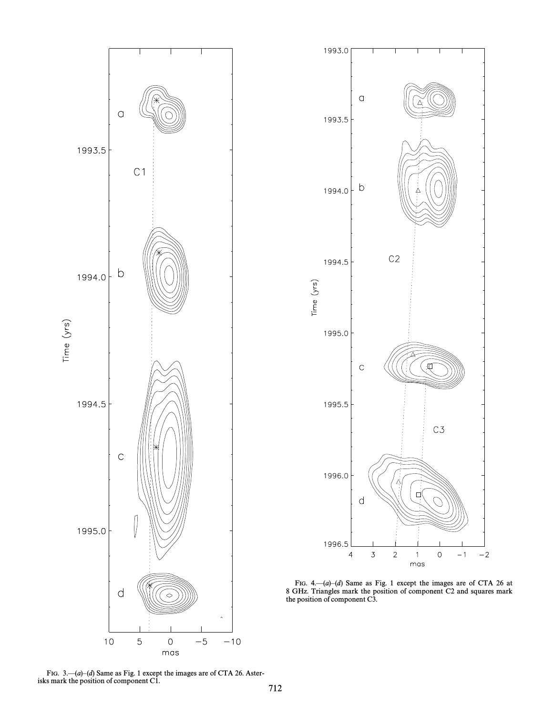



FIG. 4. $\leftarrow$ (a) $\leftarrow$ (d) Same as Fig. 1 except the images are of CTA 26 at 8 GHz. Triangles mark the position of component C2 and squares mark the position of component C3.

FIG. 3.  $-\frac{a}{d}$ Same as Fig. 1 except the images are of CTA 26. Asterisks mark the position of component C1.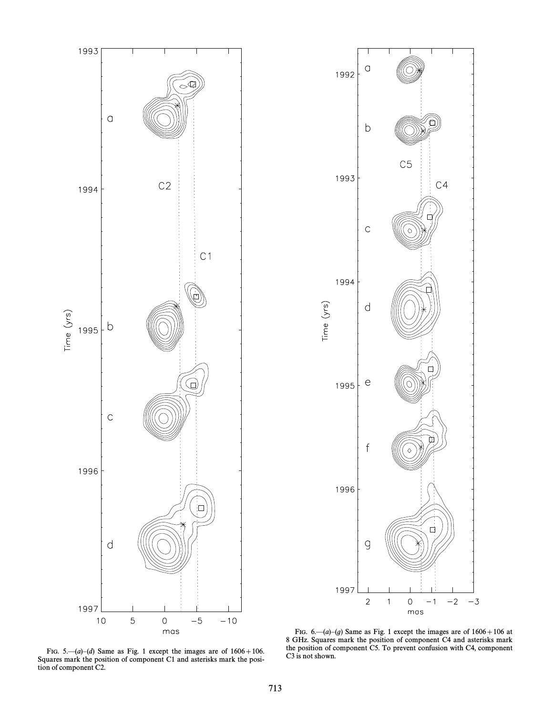



FIG. 5.— $(a)$ – $(d)$  Same as Fig. 1 except the images are of  $1606 + 106$ . Squares mark the position of component C1 and asterisks mark the position of component C2.

FIG. 6.— $(a)$ – $(g)$  Same as Fig. 1 except the images are of  $1606 + 106$  at 8 GHz. Squares mark the position of component C4 and asterisks mark the position of component C5. To prevent confusion with C4, component C3 is not shown.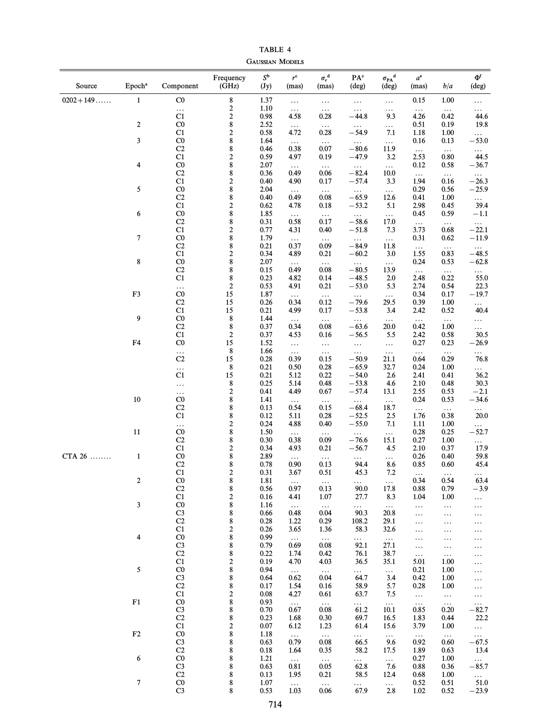TABLE 4 GAUSSIAN MODELS

| Source       | Epoch <sup>a</sup> | Component               | Frequency<br>(GHz)                          | $S^{\mathbf{b}}$<br>$(\mathbf{J}\mathbf{y})$ | $r^{\rm c}$<br>(mas) | $\sigma_r^{\ \ d}$<br>(mas) | PA°<br>(deg)        | ${\sigma_{\rm PA}}^{\rm d}$<br>(deg) | $a^e$<br>(mas)   | b/a                  | $\Phi^{\rm f}$<br>(deg)    |
|--------------|--------------------|-------------------------|---------------------------------------------|----------------------------------------------|----------------------|-----------------------------|---------------------|--------------------------------------|------------------|----------------------|----------------------------|
| $0202 + 149$ | $\mathbf{1}$       | $_{\rm C0}$             | $\bf 8$                                     | 1.37                                         | $\ldots$             | $\ldots$                    | $\ldots$            | $\ldots$                             | 0.15             | 1.00                 | $\cdots$                   |
|              |                    | $\ldots$<br>C1          | $\boldsymbol{2}$<br>$\overline{\mathbf{c}}$ | 1.10<br>0.98                                 | $\ldots$<br>4.58     | $\ldots$<br>0.28            | $\ldots$<br>$-44.8$ | .<br>9.3                             | $\ldots$<br>4.26 | $\ldots$<br>0.42     | $\cdots$<br>44.6           |
|              | $\boldsymbol{2}$   | $_{\rm C0}$             | 8                                           | 2.52                                         | $\ldots$             | $\ldots$                    | $\cdots$            | $\cdots$                             | 0.51             | 0.19                 | 19.8                       |
|              |                    | C1                      | $\overline{\mathbf{c}}$                     | 0.58                                         | 4.72                 | 0.28                        | $-54.9$             | 7.1                                  | 1.18             | 1.00                 | $\cdots$                   |
|              | 3                  | $_{\rm C0}$             | 8                                           | 1.64                                         | $\ldots$             | $\ldots$                    | $\ldots$            | $\ldots$                             | 0.16             | 0.13                 | $-53.0$                    |
|              |                    | C2<br>C1                | 8<br>$\overline{\mathbf{c}}$                | 0.46<br>0.59                                 | 0.38<br>4.97         | 0.07<br>0.19                | $-80.6$<br>$-47.9$  | 11.9<br>3.2                          | $\ldots$<br>2.53 | $\ldots$<br>0.80     | $\ldots$<br>44.5           |
|              | 4                  | $_{\rm C0}$             | 8                                           | 2.07                                         | $\ldots$             | $\ldots$                    | $\cdots$            | $\ldots$                             | 0.12             | 0.58                 | $-36.7$                    |
|              |                    | C2                      | 8                                           | 0.36                                         | 0.49                 | 0.06                        | $-82.4$             | 10.0                                 | $\ldots$         | $\ldots$             | $\cdots$                   |
|              |                    | C1                      | $\overline{\mathbf{c}}$                     | 0.40                                         | 4.90                 | 0.17                        | $-57.4$             | 3.3                                  | 1.94             | 0.16                 | $-26.3$                    |
|              | 5                  | $_{\rm C0}$             | 8                                           | 2.04                                         | $\ldots$             | $\ldots$                    | $\ldots$            | $\ldots$                             | 0.29             | 0.56                 | $-25.9$                    |
|              |                    | C2<br>C1                | 8<br>$\overline{\mathbf{c}}$                | 0.40<br>0.62                                 | 0.49<br>4.78         | 0.08<br>0.18                | $-65.9$<br>$-53.2$  | 12.6<br>5.1                          | 0.41<br>2.98     | 1.00<br>0.45         | $\cdots$<br>39.4           |
|              | 6                  | C <sub>0</sub>          | 8                                           | 1.85                                         | $\ldots$             | $\ldots$                    | $\ldots$            | $\ldots$                             | 0.45             | 0.59                 | $-1.1$                     |
|              |                    | C2                      | 8                                           | 0.31                                         | 0.58                 | 0.17                        | $-58.6$             | 17.0                                 | $\ldots$         | $\ldots$             | $\cdots$                   |
|              |                    | C1                      | $\overline{\mathbf{c}}$                     | 0.77                                         | 4.31                 | 0.40                        | $-51.8$             | 7.3                                  | 3.73             | 0.68                 | $-22.1$                    |
|              | 7                  | C <sub>0</sub>          | 8                                           | 1.79                                         | $\ldots$             | $\ldots$                    | $\ldots$            | $\ldots$                             | 0.31             | 0.62                 | $-11.9$                    |
|              |                    | C2<br>C1                | 8<br>$\overline{\mathbf{c}}$                | 0.21<br>0.34                                 | 0.37<br>4.89         | 0.09<br>0.21                | $-84.9$<br>$-60.2$  | 11.8<br>3.0                          | $\ldots$<br>1.55 | $\ldots$<br>0.83     | $\ldots$<br>$-48.5$        |
|              | 8                  | C <sub>0</sub>          | 8                                           | 2.07                                         | $\ldots$             | $\ldots$                    | $\ldots$            | $\ldots$                             | 0.24             | 0.53                 | $-62.8$                    |
|              |                    | C2                      | 8                                           | 0.15                                         | 0.49                 | 0.08                        | $-80.5$             | 13.9                                 | $\ldots$         | $\ldots$             | $\cdots$                   |
|              |                    | C1                      | 8                                           | 0.23                                         | 4.82                 | 0.14                        | $-48.5$             | 2.0                                  | 2.48             | 0.22                 | 55.0                       |
|              |                    | $\ldots$                | $\boldsymbol{2}$                            | 0.53                                         | 4.91                 | 0.21                        | $-53.0$             | 5.3                                  | 2.74             | 0.54                 | 22.3                       |
|              | F3                 | C <sub>0</sub>          | 15                                          | 1.87                                         | $\ldots$             | $\ldots$                    | $\ldots$            | $\ldots$                             | 0.34             | 0.17                 | $-19.7$                    |
|              |                    | C2<br>C1                | 15<br>15                                    | 0.26<br>0.21                                 | 0.34<br>4.99         | 0.12<br>0.17                | $-79.6$<br>$-53.8$  | 29.5<br>3.4                          | 0.39<br>2.42     | 1.00<br>0.52         | $\cdots$<br>40.4           |
|              | 9                  | $_{\rm C0}$             | $\bf 8$                                     | 1.44                                         | $\ldots$             | $\ldots$                    | $\ldots$            | $\ldots$                             | $\ldots$         | $\ldots$             | $\ldots$                   |
|              |                    | C2                      | $\bf 8$                                     | 0.37                                         | 0.34                 | 0.08                        | $-63.6$             | 20.0                                 | 0.42             | 1.00                 | .                          |
|              |                    | C1                      | $\boldsymbol{2}$                            | 0.37                                         | 4.53                 | 0.16                        | $-56.5$             | 5.5                                  | 2.42             | 0.58                 | 30.5                       |
|              | F <sub>4</sub>     | C <sub>0</sub>          | 15                                          | 1.52                                         | $\ldots$             | $\ldots$                    | $\ldots$            | $\ldots$                             | 0.27             | 0.23                 | $-26.9$                    |
|              |                    | $\ldots$                | $\bf 8$                                     | 1.66                                         | $\ldots$             | $\ldots$                    | $\ldots$            | $\ldots$                             | $\ldots$         | $\ldots$             | $\cdots$                   |
|              |                    | C <sub>2</sub>          | 15<br>$\bf 8$                               | 0.28<br>0.21                                 | 0.39<br>0.50         | 0.15<br>0.28                | $-50.9$<br>$-65.9$  | 21.1<br>32.7                         | 0.64<br>0.24     | 0.29<br>1.00         | 76.8                       |
|              |                    | $\ldots$<br>C1          | 15                                          | 0.21                                         | 5.12                 | 0.22                        | $-54.0$             | 2.6                                  | 2.41             | 0.41                 | $\cdots$<br>36.2           |
|              |                    | $\ldots$                | 8                                           | 0.25                                         | 5.14                 | 0.48                        | $-53.8$             | 4.6                                  | 2.10             | 0.48                 | 30.3                       |
|              |                    | .                       | $\sqrt{2}$                                  | 0.41                                         | 4.49                 | 0.67                        | $-57.4$             | 13.1                                 | 2.55             | 0.53                 | $-2.1$                     |
|              | $10\,$             | CO                      | 8                                           | 1.41                                         | $\ldots$             | $\ldots$                    | $\ldots$            | $\ldots$                             | 0.24             | 0.53                 | $-34.6$                    |
|              |                    | C <sub>2</sub>          | 8                                           | 0.13                                         | 0.54                 | 0.15                        | $-68.4$             | 18.7                                 | $\ldots$         | $\ldots$             | $\ldots$                   |
|              |                    | C1<br>$\ldots$          | 8<br>$\overline{\mathbf{c}}$                | 0.12<br>0.24                                 | 5.11<br>4.88         | 0.28<br>0.40                | $-52.5$<br>$-55.0$  | 2.5<br>7.1                           | 1.76<br>1.11     | 0.38<br>1.00         | 20.0<br>$\cdots$           |
|              | $11\,$             | $_{\rm C0}$             | 8                                           | 1.50                                         | $\ldots$             | $\ldots$                    | $\ldots$            | $\ldots$                             | 0.28             | 0.25                 | $-52.7$                    |
|              |                    | C <sub>2</sub>          | 8                                           | 0.30                                         | 0.38                 | 0.09                        | $-76.6$             | 15.1                                 | 0.27             | 1.00                 |                            |
|              |                    | C1                      | $\overline{\mathbf{c}}$                     | 0.34                                         | 4.93                 | 0.21                        | $-56.7$             | 4.5                                  | 2.10             | 0.37                 | 17.9                       |
| CTA 26       | $\mathbf{1}$       | CO                      | 8                                           | 2.89                                         | $\ldots$             | $\ldots$                    | $\ldots$            | .                                    | 0.26             | 0.40                 | 59.8                       |
|              |                    | C <sub>2</sub><br>C1    | 8<br>$\overline{c}$                         | 0.78<br>0.31                                 | 0.90<br>3.67         | 0.13<br>0.51                | 94.4<br>45.3        | 8.6<br>7.2                           | 0.85             | 0.60                 | 45.4                       |
|              | $\boldsymbol{2}$   | $_{\rm C0}$             | 8                                           | 1.81                                         | $\ldots$             | $\ldots$                    | $\cdots$            | $\ldots$                             | 0.34             | 0.54                 | 63.4                       |
|              |                    | C2                      | 8                                           | 0.56                                         | 0.97                 | 0.13                        | 90.0                | 17.8                                 | 0.88             | 0.79                 | $-3.9$                     |
|              |                    | C1                      | $\boldsymbol{2}$                            | 0.16                                         | 4.41                 | 1.07                        | 27.7                | 8.3                                  | 1.04             | 1.00                 | $\ldots$                   |
|              | 3                  | CO                      | 8                                           | 1.16                                         | $\ldots$             | $\ldots$                    | $\ldots$            | $\ldots$                             | $\ldots$         | $\ldots$             | $\ldots$                   |
|              |                    | $\rm C3$<br>C2          | 8<br>8                                      | 0.66<br>0.28                                 | 0.48<br>1.22         | 0.04<br>0.29                | 90.3<br>108.2       | 20.8<br>29.1                         | $\cdots$         | $\ldots$             | $\ldots$                   |
|              |                    | C1                      | $\overline{\mathbf{c}}$                     | 0.26                                         | 3.65                 | 1.36                        | 58.3                | 32.6                                 | $\cdots$<br>.    | $\ldots$<br>$\cdots$ | $\ldots$                   |
|              | 4                  | $_{\rm C0}$             | 8                                           | 0.99                                         | $\ldots$             | $\ldots$                    | $\cdots$            | $\ldots$                             | $\cdots$         | $\ldots$             | $\ldots$<br>$\cdots$       |
|              |                    | $\rm C3$                | 8                                           | 0.79                                         | 0.69                 | 0.08                        | 92.1                | 27.1                                 | .                | $\ldots$             | $\ldots$                   |
|              |                    | C2                      | 8                                           | 0.22                                         | 1.74                 | 0.42                        | 76.1                | 38.7                                 | $\ldots$         | $\ldots$             | $\ldots$                   |
|              |                    | C1                      | $\overline{\mathbf{c}}$                     | 0.19                                         | 4.70                 | 4.03                        | 36.5                | 35.1                                 | 5.01             | 1.00                 | .                          |
|              | 5                  | $_{\rm C0}$<br>$\rm C3$ | 8<br>8                                      | 0.94<br>0.64                                 | $\ldots$<br>0.62     | $\ldots$<br>0.04            | $\cdots$<br>64.7    | $\ldots$<br>3.4                      | 0.21<br>0.42     | 1.00<br>1.00         | .                          |
|              |                    | C2                      | 8                                           | 0.17                                         | 1.54                 | 0.16                        | 58.9                | 5.7                                  | 0.28             | 1.00                 | $\cdots$<br>$\ldots$       |
|              |                    | C1                      | $\boldsymbol{2}$                            | 0.08                                         | 4.27                 | 0.61                        | 63.7                | 7.5                                  | $\ldots$         | $\ldots$             | $\ldots$                   |
|              | ${\rm F1}$         | CO                      | 8                                           | 0.93                                         | $\ldots$             | $\ldots$                    | $\cdots$            | $\ldots$                             | $\ldots$         | $\ldots$             | $\ldots$                   |
|              |                    | $\rm C3$                | 8                                           | 0.70                                         | 0.67                 | 0.08                        | 61.2                | 10.1                                 | 0.85             | 0.20                 | $-82.7$                    |
|              |                    | C <sub>2</sub>          | 8                                           | 0.23                                         | 1.68                 | 0.30                        | 69.7                | 16.5                                 | 1.83             | 0.44                 | 22.2                       |
|              | $\rm F2$           | C1<br>CO                | $\boldsymbol{2}$<br>8                       | 0.07<br>1.18                                 | 6.12<br>$\ldots$     | 1.23<br>$\dots$             | 61.4<br>$\cdots$    | 15.6<br>$\ldots$                     | 3.79             | 1.00<br>$\ldots$     | $\cdots$                   |
|              |                    | $\rm C3$                | 8                                           | 0.63                                         | 0.79                 | 0.08                        | 66.5                | 9.6                                  | $\ldots$<br>0.92 | 0.60                 | $\ldots$<br>$-67.5$        |
|              |                    | C <sub>2</sub>          | 8                                           | 0.18                                         | 1.64                 | 0.35                        | 58.2                | 17.5                                 | 1.89             | 0.63                 | 13.4                       |
|              | 6                  | CO                      | 8                                           | 1.21                                         | $\ldots$             | $\ldots$                    | $\cdots$            | $\ldots$                             | 0.27             | 1.00                 | $\mathcal{L}(\mathcal{L})$ |
|              |                    | C <sub>3</sub>          | 8                                           | 0.63                                         | 0.81                 | 0.05                        | 62.8                | 7.6                                  | 0.88             | 0.36                 | $-85.7$                    |
|              | 7                  | C2<br>C <sub>0</sub>    | 8<br>8                                      | 0.13<br>1.07                                 | 1.95                 | 0.21                        | 58.5                | 12.4                                 | 0.68             | 1.00<br>0.51         | $\cdots$<br>51.0           |
|              |                    | C <sub>3</sub>          | 8                                           | 0.53                                         | $\ldots$<br>1.03     | $\ldots$<br>0.06            | $\cdots$<br>67.9    | $\ldots$<br>2.8                      | 0.52<br>1.02     | 0.52                 | $-23.9$                    |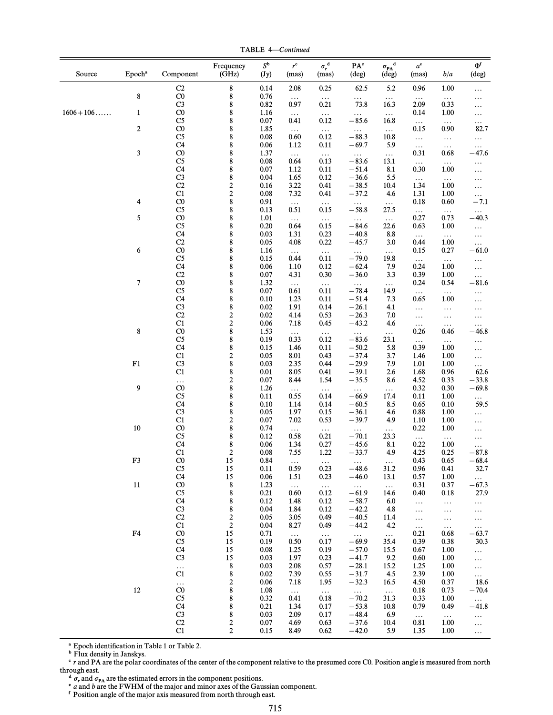TABLE 4-Continued

| Source       | Epoch <sup>a</sup> | Component                        | Frequency<br>(GHz)                 | $S^{\rm b}$<br>(Jy) | $r^{\rm c}$<br>(mas) | $\sigma_r^{\ \ d}$<br>(mas) | $\mathbf{P}\mathbf{A}^{\text{c}}$<br>(deg) | $\sigma_{\rm PA}^{\phantom{\dag}}^{\phantom{\dag}}$<br>(deg) | $a^{\rm e}$<br>(mas) | b/a              | $\Phi^{\text{f}}$<br>(deg) |
|--------------|--------------------|----------------------------------|------------------------------------|---------------------|----------------------|-----------------------------|--------------------------------------------|--------------------------------------------------------------|----------------------|------------------|----------------------------|
|              |                    | C <sub>2</sub>                   | 8                                  | 0.14                | 2.08                 | 0.25                        | 62.5                                       | 5.2                                                          | 0.96                 | 1.00             | .                          |
|              | $\bf 8$            | $\rm CO$                         | 8                                  | 0.76                | $\ldots$             | $\ldots$                    | $\ldots$                                   | $\ldots$                                                     | $\ldots$             | $\ldots$         | .                          |
| $1606 + 106$ | $\mathbf{1}$       | C <sub>3</sub><br>$_{\rm C0}$    | 8<br>8                             | 0.82<br>1.16        | 0.97                 | 0.21<br>$\ldots$            | 73.8<br>$\ldots$                           | 16.3<br>$\ldots$                                             | 2.09<br>0.14         | 0.33<br>1.00     | .<br>.                     |
|              |                    | C <sub>5</sub>                   | 8                                  | 0.07                | $\ldots$<br>0.41     | 0.12                        | $-85.6$                                    | 16.8                                                         | $\ldots$             | $\ldots$         | $\ldots$                   |
|              | $\boldsymbol{2}$   | $_{\rm C0}$                      | 8                                  | 1.85                | $\ldots$             | $\ldots$                    | $\ldots$                                   | $\ldots$                                                     | 0.15                 | 0.90             | 82.7                       |
|              |                    | C <sub>5</sub>                   | $\bf 8$                            | 0.08                | 0.60                 | 0.12                        | $-88.3$                                    | 10.8                                                         | $\ldots$             | $\ldots$         | .                          |
|              |                    | C4                               | 8                                  | 0.06                | 1.12                 | 0.11                        | $-69.7$                                    | 5.9                                                          | $\ldots$             | $\ldots$         | $\ldots$                   |
|              | 3                  | $_{\rm C0}$<br>C <sub>5</sub>    | $\bf 8$<br>8                       | 1.37<br>0.08        | $\ddotsc$<br>0.64    | $\ldots$<br>0.13            | $\ldots$<br>$-83.6$                        | $\ldots$<br>13.1                                             | 0.31<br>$\ldots$     | 0.68<br>$\ldots$ | $-47.6$                    |
|              |                    | C4                               | $\bf 8$                            | 0.07                | 1.12                 | 0.11                        | $-51.4$                                    | 8.1                                                          | 0.30                 | 1.00             | .<br>.                     |
|              |                    | C <sub>3</sub>                   | 8                                  | 0.04                | 1.65                 | 0.12                        | $-36.6$                                    | 5.5                                                          | $\ldots$             | $\ldots$         | .                          |
|              |                    | C2                               | $\boldsymbol{2}$                   | 0.16                | 3.22                 | 0.41                        | $-38.5$                                    | 10.4                                                         | 1.34                 | 1.00             | .                          |
|              |                    | C1                               | $\overline{\mathbf{c}}$            | 0.08                | 7.32                 | 0.41                        | $-37.2$                                    | 4.6                                                          | 1.31                 | 1.00             | $\ldots$                   |
|              | 4                  | $\rm CO$<br>C <sub>5</sub>       | $\bf 8$                            | 0.91                | $\ldots$<br>0.51     | $\ldots$                    | $\ldots$                                   | $\ldots$<br>27.5                                             | 0.18                 | 0.60             | $-7.1$                     |
|              | 5                  | $\rm CO$                         | 8<br>$\bf 8$                       | 0.13<br>1.01        |                      | 0.15                        | $-58.8$<br>$\ldots$                        | $\ldots$                                                     | $\ldots$<br>0.27     | $\ldots$<br>0.73 | $\ldots$<br>$-40.3$        |
|              |                    | C <sub>5</sub>                   | 8                                  | 0.20                | $\ldots$<br>0.64     | $\ldots$<br>0.15            | $-84.6$                                    | 22.6                                                         | 0.63                 | 1.00             | $\ldots$                   |
|              |                    | C4                               | $\bf 8$                            | 0.03                | 1.31                 | 0.23                        | $-40.8$                                    | 8.8                                                          | $\ldots$             | $\ldots$         | .                          |
|              |                    | C <sub>2</sub>                   | 8                                  | 0.05                | 4.08                 | 0.22                        | $-45.7$                                    | 3.0                                                          | 0.44                 | 1.00             | $\ldots$                   |
|              | 6                  | $\rm CO$                         | $\bf 8$                            | 1.16                | $\ldots$             | $\ldots$                    | $\ldots$                                   | $\ldots$                                                     | 0.15                 | 0.27             | $-61.0$                    |
|              |                    | C <sub>5</sub>                   | 8                                  | 0.15                | 0.44                 | 0.11                        | $-79.0$                                    | 19.8                                                         | $\ldots$             | $\ldots$         | .                          |
|              |                    | C4<br>C <sub>2</sub>             | $\bf 8$<br>8                       | 0.06<br>0.07        | 1.10<br>4.31         | 0.12<br>0.30                | $-62.4$<br>$-36.0$                         | 7.9<br>3.3                                                   | 0.24<br>0.39         | 1.00<br>1.00     | $\ldots$                   |
|              | $\boldsymbol{7}$   | $_{\rm C0}$                      | $\bf 8$                            | 1.32                | $\ldots$             | $\ldots$                    | $\ldots$                                   | $\ldots$                                                     | 0.24                 | 0.54             | $\ldots$<br>$-81.6$        |
|              |                    | C <sub>5</sub>                   | 8                                  | 0.07                | 0.61                 | 0.11                        | $-78.4$                                    | 14.9                                                         | $\ldots$             | $\ldots$         | .                          |
|              |                    | C4                               | $\bf 8$                            | 0.10                | 1.23                 | 0.11                        | $-51.4$                                    | 7.3                                                          | 0.65                 | 1.00             | .                          |
|              |                    | C <sub>3</sub>                   | 8                                  | 0.02                | 1.91                 | 0.14                        | $-26.1$                                    | 4.1                                                          | $\ldots$             | $\ldots$         | .                          |
|              |                    | C2                               | $\overline{\mathbf{c}}$            | 0.02                | 4.14                 | 0.53                        | $-26.3$                                    | 7.0                                                          | $\ldots$             | $\ldots$         | .                          |
|              | 8                  | C1<br>$\rm CO$                   | $\overline{\mathbf{c}}$<br>$\bf 8$ | 0.06<br>1.53        | 7.18                 | 0.45                        | $-43.2$                                    | 4.6                                                          | $\ldots$<br>0.26     | $\ldots$<br>0.46 | .<br>-46.8                 |
|              |                    | C <sub>5</sub>                   | 8                                  | 0.19                | $\ldots$<br>0.33     | $\ldots$<br>0.12            | $\ldots$<br>$-83.6$                        | $\ldots$<br>23.1                                             | $\ldots$             | $\ldots$         | .                          |
|              |                    | C <sub>4</sub>                   | $\bf 8$                            | 0.15                | 1.46                 | 0.11                        | $-50.2$                                    | 5.8                                                          | 0.39                 | 1.00             | $\ldots$                   |
|              |                    | C1                               | $\overline{\mathbf{c}}$            | 0.05                | 8.01                 | 0.43                        | $-37.4$                                    | 3.7                                                          | 1.46                 | 1.00             | .                          |
|              | ${\bf F1}$         | $\rm C3$                         | $\bf 8$                            | 0.03                | 2.35                 | 0.44                        | $-29.9$                                    | 7.9                                                          | 1.01                 | 1.00             | $\ldots$                   |
|              |                    | C1                               | 8                                  | 0.01                | 8.05                 | 0.41                        | $-39.1$                                    | 2.6                                                          | 1.68                 | 0.96             | 62.6                       |
|              | 9                  | $\ldots$<br>CO                   | $\overline{\mathbf{c}}$<br>8       | 0.07<br>1.26        | 8.44                 | 1.54                        | $-35.5$                                    | 8.6                                                          | 4.52<br>0.32         | 0.33<br>0.30     | $-33.8$<br>$-69.8$         |
|              |                    | C <sub>5</sub>                   | $\bf 8$                            | 0.11                | $\ldots$<br>0.55     | $\ldots$<br>0.14            | $\ldots$<br>$-66.9$                        | $\ldots$<br>17.4                                             | 0.11                 | 1.00             | $\cdots$                   |
|              |                    | C <sub>4</sub>                   | 8                                  | 0.10                | 1.14                 | 0.14                        | $-60.5$                                    | 8.5                                                          | 0.65                 | 0.10             | 59.5                       |
|              |                    | C <sub>3</sub>                   | $\bf 8$                            | 0.05                | 1.97                 | 0.15                        | $-36.1$                                    | 4.6                                                          | 0.88                 | 1.00             | .                          |
|              |                    | C1                               | $\overline{\mathbf{c}}$            | 0.07                | 7.02                 | 0.53                        | $-39.7$                                    | 4.9                                                          | 1.10                 | 1.00             | $\ldots$                   |
|              | $10\,$             | $_{\rm C0}$                      | $\bf 8$                            | 0.74                | $\ldots$             | $\ldots$                    | $\ldots$                                   | $\ldots$                                                     | 0.22                 | 1.00             | .                          |
|              |                    | C <sub>5</sub><br>C <sub>4</sub> | 8<br>$\bf 8$                       | 0.12<br>0.06        | 0.58<br>1.34         | 0.21<br>0.27                | $-70.1$<br>$-45.6$                         | 23.3<br>8.1                                                  | $\ldots$<br>0.22     | $\ldots$<br>1.00 | .                          |
|              |                    | C1                               | $\boldsymbol{2}$                   | 0.08                | 7.55                 | 1.22                        | $-33.7$                                    | 4.9                                                          | 4.25                 | 0.25             | .<br>$-87.8$               |
|              | F3                 | $\rm CO$                         | 15                                 | 0.84                | $\ldots$             | $\ldots$                    | $\ldots$                                   | $\dots$                                                      | 0.43                 | 0.65             | $-68.4$                    |
|              |                    | C <sub>5</sub>                   | 15                                 | 0.11                | 0.59                 | 0.23                        | $-48.6$                                    | 31.2                                                         | 0.96                 | 0.41             | 32.7                       |
|              |                    | C <sub>4</sub>                   | 15                                 | 0.06                | 1.51                 | 0.23                        | $-46.0$                                    | 13.1                                                         | 0.57                 | 1.00             | $\cdots$                   |
|              | $11\,$             | $_{\rm C0}$<br>$\rm{C}5$         | 8<br>8                             | 1.23<br>0.21        | $\ldots$<br>0.60     | $\ldots$<br>0.12            | $\ldots$<br>$-61.9$                        | $\ldots$<br>14.6                                             | 0.31<br>0.40         | 0.37<br>0.18     | $-67.3$<br>27.9            |
|              |                    | C <sub>4</sub>                   | 8                                  | 0.12                | 1.48                 | 0.12                        | $-58.7$                                    | 6.0                                                          | $\ldots$             | $\ldots$         | $\cdots$                   |
|              |                    | $\rm C3$                         | 8                                  | 0.04                | 1.84                 | 0.12                        | $-42.2$                                    | 4.8                                                          | $\ldots$             | $\ldots$         | $\cdots$                   |
|              |                    | C2                               | $\boldsymbol{2}$                   | 0.05                | 3.05                 | 0.49                        | $-40.5$                                    | 11.4                                                         | $\ldots$             | $\ldots$         | $\ldots$                   |
|              |                    | C1                               | $\sqrt{2}$                         | 0.04                | 8.27                 | 0.49                        | $-44.2$                                    | 4.2                                                          | $\ldots$             | $\ldots$         | $\ldots$                   |
|              | F <sub>4</sub>     | $_{\rm C0}$                      | 15                                 | 0.71                | $\ldots$             | $\ldots$                    | $\ldots$                                   | $\ldots$                                                     | 0.21                 | 0.68             | $-63.7$                    |
|              |                    | $\rm{C}5$<br>C <sub>4</sub>      | 15<br>15                           | 0.19<br>0.08        | 0.50<br>1.25         | 0.17<br>0.19                | $-69.9$<br>$-57.0$                         | 35.4<br>15.5                                                 | 0.39<br>0.67         | 0.38<br>1.00     | 30.3                       |
|              |                    | $\rm C3$                         | 15                                 | 0.03                | 1.97                 | 0.23                        | $-41.7$                                    | 9.2                                                          | 0.60                 | 1.00             | $\ldots$<br>.              |
|              |                    | $\ldots$                         | $8\phantom{1}$                     | 0.03                | 2.08                 | 0.57                        | $-28.1$                                    | 15.2                                                         | 1.25                 | 1.00             | $\ldots$                   |
|              |                    | C1                               | 8                                  | 0.02                | 7.39                 | 0.55                        | $-31.7$                                    | 4.5                                                          | 2.39                 | 1.00             | $\ldots$                   |
|              |                    | $\ldots$                         | $\boldsymbol{2}$                   | 0.06                | 7.18                 | 1.95                        | $-32.3$                                    | 16.5                                                         | 4.50                 | 0.37             | 18.6                       |
|              | $12\,$             | $\rm CO$                         | 8                                  | 1.08                | $\ddotsc$            | $\ldots$                    | $\sim 100$                                 | $\ldots$                                                     | 0.18                 | 0.73             | $-70.4$                    |
|              |                    | C <sub>5</sub><br>C <sub>4</sub> | 8<br>8                             | 0.32<br>0.21        | 0.41<br>1.34         | 0.18<br>0.17                | $-70.2$<br>$-53.8$                         | 31.3<br>10.8                                                 | 0.33<br>0.79         | 1.00<br>0.49     | $\ldots$<br>$-41.8$        |
|              |                    | $\rm C3$                         | 8                                  | 0.03                | 2.09                 | 0.17                        | $-48.4$                                    | 6.9                                                          | $\ldots$             | $\dots$          | .                          |
|              |                    | C <sub>2</sub>                   | $\boldsymbol{2}$                   | 0.07                | 4.69                 | 0.63                        | $-37.6$                                    | 10.4                                                         | 0.81                 | 1.00             | .                          |
|              |                    | C1                               | 2                                  | 0.15                | 8.49                 | 0.62                        | $-42.0$                                    | 5.9                                                          | 1.35                 | 1.00             | .                          |

<sup>a</sup> Epoch identification in Table 1 or Table 2.

b Flux density in Janskys.

 $\degree$  r and PA are the polar coordinates of the center of the component relative to the presumed core C0. Position angle is measured from north through east.

 $d \sigma_r$  and  $\sigma_{PA}$  are the estimated errors in the component positions.<br>• a and b are the FWHM of the major and minor axes of the Gaussian component.

f Position angle of the major axis measured from north through east.

715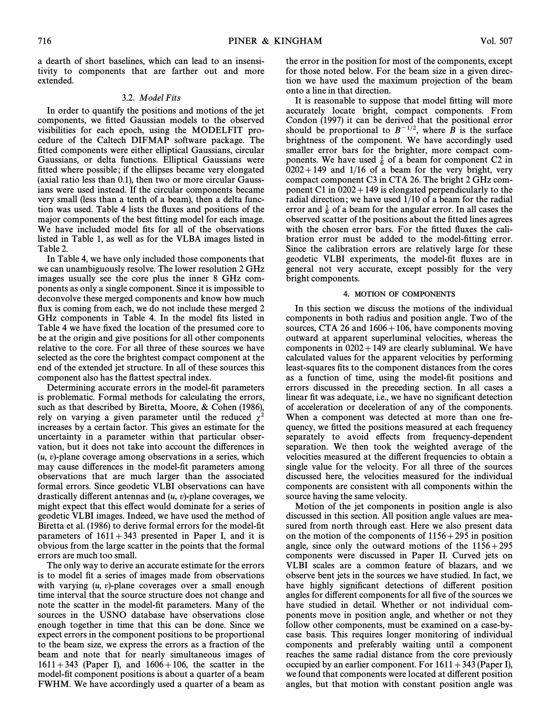a dearth of short baselines, which can lead to an insensitivity to components that are farther out and more extended.

# 3.2. Model Fits

In order to quantify the positions and motions of the jet components, we fitted Gaussian models to the observed visibilities for each epoch, using the MODELFIT procedure of the Caltech DIFMAP software package. The fitted components were either elliptical Gaussians, circular Gaussians, or delta functions. Elliptical Gaussians were fitted where possible; if the ellipses became very elongated (axial ratio less than 0.1), then two or more circular Gaussians were used instead. If the circular components became very small (less than a tenth of a beam), then a delta function was used. Table 4 lists the fluxes and positions of the major components of the best fitting model for each image. We have included model fits for all of the observations listed in Table 1, as well as for the VLBA images listed in Table 2.

In Table 4, we have only included those components that we can unambiguously resolve. The lower resolution 2 GHz images usually see the core plus the inner 8 GHz components as only a single component. Since it is impossible to deconvolve these merged components and know how much flux is coming from each, we do not include these merged 2 GHz components in Table 4. In the model fits listed in Table 4 we have fixed the location of the presumed core to be at the origin and give positions for all other components relative to the core. For all three of these sources we have selected as the core the brightest compact component at the end of the extended jet structure. In all of these sources this component also has the Ñattest spectral index.

Determining accurate errors in the model-fit parameters is problematic. Formal methods for calculating the errors, such as that described by Biretta, Moore,  $& Cohen$  (1986), rely on varying a given parameter until the reduced  $\chi^2$ increases by a certain factor. This gives an estimate for the uncertainty in a parameter within that particular observation, but it does not take into account the differences in  $(u, v)$ -plane coverage among observations in a series, which may cause differences in the model-fit parameters among observations that are much larger than the associated formal errors. Since geodetic VLBI observations can have drastically different antennas and  $(u, v)$ -plane coverages, we might expect that this effect would dominate for a series of geodetic VLBI images. Indeed, we have used the method of Biretta et al. (1986) to derive formal errors for the model-fit parameters of  $1611+343$  presented in Paper I, and it is obvious from the large scatter in the points that the formal errors are much too small.

The only way to derive an accurate estimate for the errors is to model fit a series of images made from observations with varying  $(u, v)$ -plane coverages over a small enough time interval that the source structure does not change and note the scatter in the model-fit parameters. Many of the sources in the USNO database have observations close enough together in time that this can be done. Since we expect errors in the component positions to be proportional to the beam size, we express the errors as a fraction of the beam and note that for nearly simultaneous images of  $1611 + 343$  (Paper I), and  $1606 + 106$ , the scatter in the model-fit component positions is about a quarter of a beam FWHM. We have accordingly used a quarter of a beam as the error in the position for most of the components, except for those noted below. For the beam size in a given direction we have used the maximum projection of the beam onto a line in that direction.

It is reasonable to suppose that model fitting will more accurately locate bright, compact components. From Condon (1997) it can be derived that the positional error should be proportional to  $B^{-1/2}$ , where B is the surface brightness of the component. We have accordingly used smaller error bars for the brighter, more compact components. We have used  $\frac{1}{6}$  of a beam for component C2 in  $6202 + 149$  and  $1/16$  of a beam for the very bright, very compact component C3 in CTA 26. The bright 2 GHz component C1 in  $0202 + 149$  is elongated perpendicularly to the radial direction; we have used 1/10 of a beam for the radial error and  $\frac{1}{6}$  of a beam for the angular error. In all cases the observed scatter of the positions about the fitted lines agrees with the chosen error bars. For the fitted fluxes the calibration error must be added to the model-fitting error. Since the calibration errors are relatively large for these geodetic VLBI experiments, the model-fit fluxes are in general not very accurate, except possibly for the very bright components.

#### 4. MOTION OF COMPONENTS

In this section we discuss the motions of the individual components in both radius and position angle. Two of the sources, CTA 26 and  $1606 + 106$ , have components moving outward at apparent superluminal velocities, whereas the components in  $0202+149$  are clearly subluminal. We have calculated values for the apparent velocities by performing least-squares fits to the component distances from the cores as a function of time, using the model-fit positions and errors discussed in the preceding section. In all cases a linear fit was adequate, i.e., we have no significant detection of acceleration or deceleration of any of the components. When a component was detected at more than one frequency, we fitted the positions measured at each frequency separately to avoid effects from frequency-dependent separation. We then took the weighted average of the velocities measured at the di†erent frequencies to obtain a single value for the velocity. For all three of the sources discussed here, the velocities measured for the individual components are consistent with all components within the source having the same velocity.

Motion of the jet components in position angle is also discussed in this section. All position angle values are measured from north through east. Here we also present data on the motion of the components of  $1156+295$  in position angle, since only the outward motions of the  $1156+295$ components were discussed in Paper II. Curved jets on VLBI scales are a common feature of blazars, and we observe bent jets in the sources we have studied. In fact, we have highly significant detections of different position angles for different components for all five of the sources we have studied in detail. Whether or not individual components move in position angle, and whether or not they follow other components, must be examined on a case-bycase basis. This requires longer monitoring of individual components and preferably waiting until a component reaches the same radial distance from the core previously occupied by an earlier component. For  $1611 + 343$  (Paper I), we found that components were located at different position angles, but that motion with constant position angle was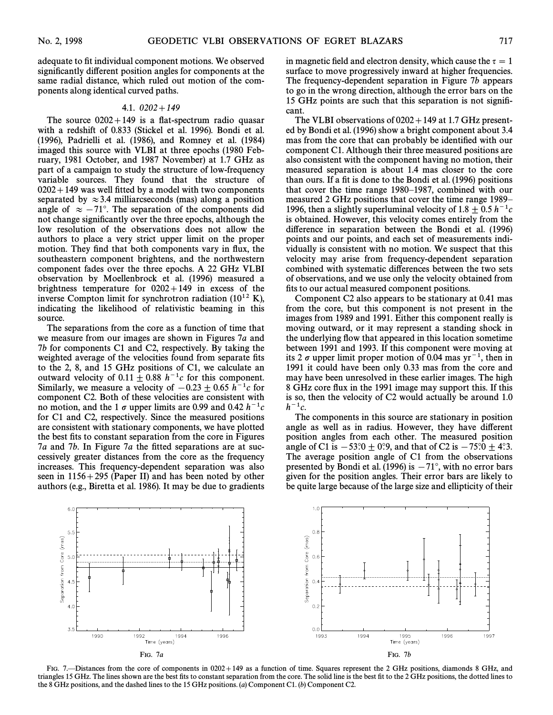adequate to fit individual component motions. We observed significantly different position angles for components at the same radial distance, which ruled out motion of the components along identical curved paths.

# 4.1.  $0202 + 149$

The source  $0202+149$  is a flat-spectrum radio quasar with a redshift of 0.833 (Stickel et al. 1996). Bondi et al.  $(1996)$ , Padrielli et al.  $(1986)$ , and Romney et al.  $(1984)$ imaged this source with VLBI at three epochs (1980 February, 1981 October, and 1987 November) at 1.7 GHz as part of a campaign to study the structure of low-frequency variable sources. They found that the structure of  $0202+149$  was well fitted by a model with two components separated by  $\approx$  3.4 milliarcseconds (mas) along a position angle of  $\approx -71^\circ$ . The separation of the components did not change significantly over the three epochs, although the low resolution of the observations does not allow the authors to place a very strict upper limit on the proper motion. They find that both components vary in flux, the southeastern component brightens, and the northwestern component fades over the three epochs. A 22 GHz VLBI observation by Moellenbrock et al. (1996) measured a brightness temperature for  $0202+149$  in excess of the inverse Compton limit for synchrotron radiation ( $10^{12}$  K), indicating the likelihood of relativistic beaming in this source.

The separations from the core as a function of time that we measure from our images are shown in Figures  $7a$  and 7b for components C1 and C2, respectively. By taking the weighted average of the velocities found from separate fits to the 2, 8, and 15 GHz positions of C1, we calculate an outward velocity of  $0.11 \pm 0.88$  h<sup>-1</sup>c for this component. Similarly, we measure a velocity of  $-0.23 \pm 0.65$  h<sup>-1</sup>c for component C2. Both of these velocities are consistent with no motion, and the 1  $\sigma$  upper limits are 0.99 and 0.42  $h^{-1}c$ for C1 and C2, respectively. Since the measured positions are consistent with stationary components, we have plotted the best fits to constant separation from the core in Figures  $7a$  and  $7b$ . In Figure  $7a$  the fitted separations are at successively greater distances from the core as the frequency increases. This frequency-dependent separation was also seen in  $1156+295$  (Paper II) and has been noted by other authors (e.g., Biretta et al. 1986). It may be due to gradients in magnetic field and electron density, which cause the  $\tau = 1$ surface to move progressively inward at higher frequencies. The frequency-dependent separation in Figure  $7b$  appears to go in the wrong direction, although the error bars on the 15 GHz points are such that this separation is not signiÐcant.

The VLBI observations of  $0202+149$  at 1.7 GHz presented by Bondi et al. (1996) show a bright component about 3.4 mas from the core that can probably be identified with our component C1. Although their three measured positions are also consistent with the component having no motion, their measured separation is about 1.4 mas closer to the core than ours. If a fit is done to the Bondi et al.  $(1996)$  positions that cover the time range 1980–1987, combined with our measured 2 GHz positions that cover the time range 1989– 1996, then a slightly superluminal velocity of 1.8  $\pm$  0.5 h<sup>-1</sup>c is obtained. However, this velocity comes entirely from the difference in separation between the Bondi et al. (1996) points and our points, and each set of measurements individually is consistent with no motion. We suspect that this velocity may arise from frequency-dependent separation combined with systematic differences between the two sets of observations, and we use only the velocity obtained from fits to our actual measured component positions.

Component C2 also appears to be stationary at 0.41 mas from the core, but this component is not present in the images from 1989 and 1991. Either this component really is moving outward, or it may represent a standing shock in the underlying Ñow that appeared in this location sometime between 1991 and 1993. If this component were moving at its 2  $\sigma$  upper limit proper motion of 0.04 mas yr<sup>-1</sup>, then in 1991 it could have been only 0.33 mas from the core and may have been unresolved in these earlier images. The high 8 GHz core flux in the 1991 image may support this. If this is so, then the velocity of C2 would actually be around 1.0  $h^{-1}c$ .

The components in this source are stationary in position angle as well as in radius. However, they have different position angles from each other. The measured position angle of C1 is  $-53°.0 \pm 0°.9$ , and that of C2 is  $-75°.0 \pm 4°.3$ . The average position angle of C1 from the observations presented by Bondi et al. (1996) is  $-71^\circ$ , with no error bars given for the position angles. Their error bars are likely to be quite large because of the large size and ellipticity of their



FIG. 7.—Distances from the core of components in 0202+149 as a function of time. Squares represent the 2 GHz positions, diamonds 8 GHz, and triangles 15 GHz. The lines shown are the best fits to constant separation from the core. The solid line is the best fit to the 2 GHz positions, the dotted lines to the 8 GHz positions, and the dashed lines to the 15 GHz positions. (a) Component C1. (b) Component C2.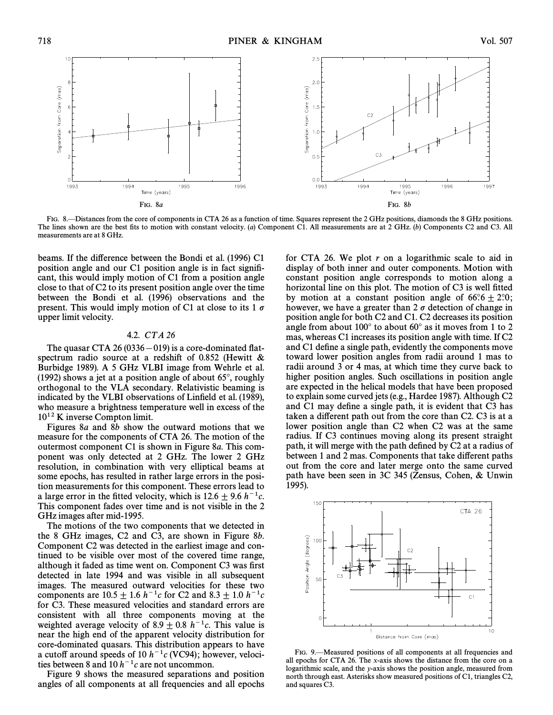

FIG. 8.—Distances from the core of components in CTA 26 as a function of time. Squares represent the 2 GHz positions, diamonds the 8 GHz positions. The lines shown are the best fits to motion with constant velocity. (a) Component C1. All measurements are at 2 GHz. (b) Components C2 and C3. All measurements are at 8 GHz.

beams. If the difference between the Bondi et al. (1996) C1 position angle and our C1 position angle is in fact signiÐcant, this would imply motion of C1 from a position angle close to that of C2 to its present position angle over the time between the Bondi et al. (1996) observations and the present. This would imply motion of C1 at close to its 1  $\sigma$ upper limit velocity.

#### 4.2. CT A 26

The quasar CTA 26 (0336 $-$ 019) is a core-dominated flatspectrum radio source at a redshift of 0.852 (Hewitt  $\&$ Burbidge 1989). A 5 GHz VLBI image from Wehrle et al. (1992) shows a jet at a position angle of about  $65^\circ$ , roughly orthogonal to the VLA secondary. Relativistic beaming is indicated by the VLBI observations of Linfield et al. (1989), who measure a brightness temperature well in excess of the  $10^{12}$  K inverse Compton limit.

Figures  $8a$  and  $8b$  show the outward motions that we measure for the components of CTA 26. The motion of the outermost component  $C1$  is shown in Figure 8a. This component was only detected at 2 GHz. The lower 2 GHz resolution, in combination with very elliptical beams at some epochs, has resulted in rather large errors in the position measurements for this component. These errors lead to a large error in the fitted velocity, which is  $12.6 \pm 9.6$  h<sup>-1</sup>c. This component fades over time and is not visible in the 2 GHz images after mid-1995.

The motions of the two components that we detected in the 8 GHz images, C2 and C3, are shown in Figure 8b. Component C2 was detected in the earliest image and continued to be visible over most of the covered time range, although it faded as time went on. Component C3 was first detected in late 1994 and was visible in all subsequent images. The measured outward velocities for these two components are  $10.5 \pm 1.6$  h<sup>-1</sup>c for C2 and 8.3  $\pm$  1.0 h<sup>-1</sup>c for C3. These measured velocities and standard errors are consistent with all three components moving at the weighted average velocity of 8.9  $\pm$  0.8 h<sup>-1</sup>c. This value is near the high end of the apparent velocity distribution for core-dominated quasars. This distribution appears to have a cutoff around speeds of 10  $h^{-1}c$  (VC94); however, velocities between 8 and 10  $h^{-1}c$  are not uncommon.

Figure 9 shows the measured separations and position angles of all components at all frequencies and all epochs for CTA 26. We plot  $r$  on a logarithmic scale to aid in display of both inner and outer components. Motion with constant position angle corresponds to motion along a horizontal line on this plot. The motion of C3 is well fitted by motion at a constant position angle of  $66^\circ \cdot 6 + 2^\circ \cdot 0$ ; however, we have a greater than  $2 \sigma$  detection of change in position angle for both C2 and C1. C2 decreases its position angle from about  $100^\circ$  to about  $60^\circ$  as it moves from 1 to 2 mas, whereas C1 increases its position angle with time. If C2 and C1 define a single path, evidently the components move toward lower position angles from radii around 1 mas to radii around 3 or 4 mas, at which time they curve back to higher position angles. Such oscillations in position angle are expected in the helical models that have been proposed to explain some curved jets (e.g., Hardee 1987). Although C2 and C1 may define a single path, it is evident that C3 has taken a different path out from the core than C2. C3 is at a lower position angle than C2 when C2 was at the same radius. If C3 continues moving along its present straight path, it will merge with the path defined by C2 at a radius of between 1 and 2 mas. Components that take different paths out from the core and later merge onto the same curved path have been seen in 3C 345 (Zensus, Cohen, & Unwin 1995).



FIG. 9. Aleasured positions of all components at all frequencies and all epochs for CTA 26. The x-axis shows the distance from the core on a logarithmic scale, and the y-axis shows the position angle, measured from north through east. Asterisks show measured positions of C1, triangles C2, and squares C3.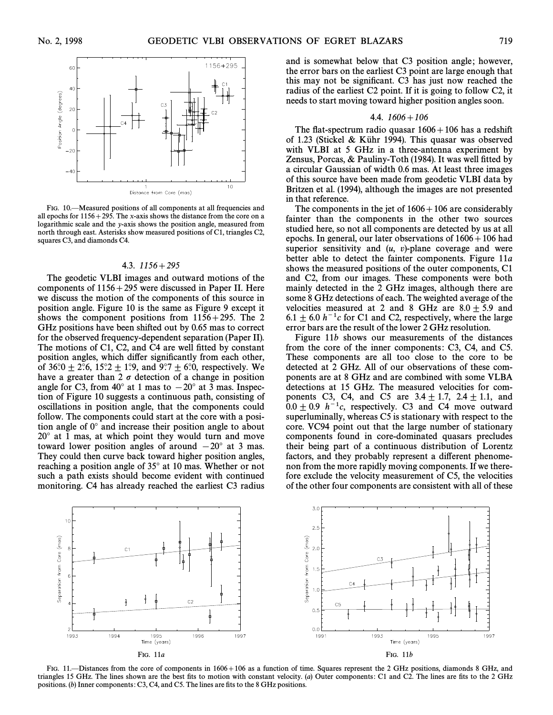

FIG. 10.<sup>-</sup>Measured positions of all components at all frequencies and all epochs for  $1156 + 295$ . The x-axis shows the distance from the core on a logarithmic scale and the y-axis shows the position angle, measured from north through east. Asterisks show measured positions of C1, triangles C2, squares C3, and diamonds C4.

#### 4.3.  $1156+295$

The geodetic VLBI images and outward motions of the components of  $1156 + 295$  were discussed in Paper II. Here we discuss the motion of the components of this source in position angle. Figure 10 is the same as Figure 9 except it shows the component positions from  $1156+295$ . The 2 GHz positions have been shifted out by 0.65 mas to correct for the observed frequency-dependent separation (Paper II). The motions of  $C1$ ,  $C2$ , and  $C4$  are well fitted by constant position angles, which differ significantly from each other, of 36°.0  $\pm$  2°.6, 15°.2  $\pm$  1°.9, and 9°.7  $\pm$  6°.0, respectively. We have a greater than 2  $\sigma$  detection of a change in position angle for C3, from 40 $^{\circ}$  at 1 mas to  $-20^{\circ}$  at 3 mas. Inspection of Figure 10 suggests a continuous path, consisting of oscillations in position angle, that the components could follow. The components could start at the core with a position angle of  $0^\circ$  and increase their position angle to about  $20^\circ$  at 1 mas, at which point they would turn and move toward lower position angles of around  $-20°$  at 3 mas. They could then curve back toward higher position angles, reaching a position angle of 35° at 10 mas. Whether or not such a path exists should become evident with continued monitoring. C4 has already reached the earliest C3 radius

and is somewhat below that C3 position angle; however, the error bars on the earliest C3 point are large enough that this may not be significant. C3 has just now reached the radius of the earliest C2 point. If it is going to follow C2, it needs to start moving toward higher position angles soon.

#### 4.4.  $1606 + 106$

The flat-spectrum radio quasar  $1606+106$  has a redshift of 1.23 (Stickel & Kühr 1994). This quasar was observed with VLBI at 5 GHz in a three-antenna experiment by Zensus, Porcas,  $&$  Pauliny-Toth (1984). It was well fitted by a circular Gaussian of width 0.6 mas. At least three images of this source have been made from geodetic VLBI data by Britzen et al. (1994), although the images are not presented in that reference.

The components in the jet of  $1606+106$  are considerably fainter than the components in the other two sources studied here, so not all components are detected by us at all epochs. In general, our later observations of  $1606 + 106$  had superior sensitivity and  $(u, v)$ -plane coverage and were better able to detect the fainter components. Figure 11a shows the measured positions of the outer components, C1 and C2, from our images. These components were both mainly detected in the 2 GHz images, although there are some 8 GHz detections of each. The weighted average of the velocities measured at 2 and 8 GHz are  $8.0 \pm 5.9$  and 6.1  $\pm$  6.0 h<sup>-1</sup>c for C1 and C2, respectively, where the large error bars are the result of the lower 2 GHz resolution.

Figure 11b shows our measurements of the distances from the core of the inner components: C3, C4, and C5. These components are all too close to the core to be detected at 2 GHz. All of our observations of these components are at 8 GHz and are combined with some VLBA detections at 15 GHz. The measured velocities for components C3, C4, and C5 are  $3.4 \pm 1.7$ ,  $2.4 \pm 1.1$ , and  $0.0 \pm 0.9$  h<sup>-1</sup>c, respectively. C3 and C4 move outward superluminally, whereas C5 is stationary with respect to the core. VC94 point out that the large number of stationary components found in core-dominated quasars precludes their being part of a continuous distribution of Lorentz factors, and they probably represent a different phenomenon from the more rapidly moving components. If we therefore exclude the velocity measurement of C5, the velocities of the other four components are consistent with all of these



FIG. 11. - Distances from the core of components in 1606 + 106 as a function of time. Squares represent the 2 GHz positions, diamonds 8 GHz, and triangles 15 GHz. The lines shown are the best fits to motion with constant velocity. (a) Outer components: C1 and C2. The lines are fits to the 2 GHz positions. (b) Inner components: C3, C4, and C5. The lines are fits to the 8 GHz positions.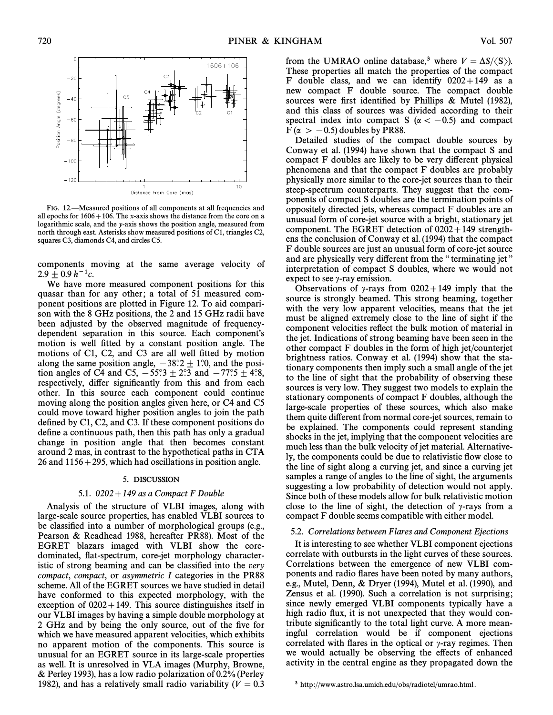

FIG. 12.<sup>Areasured</sup> positions of all components at all frequencies and all epochs for  $1606 + 106$ . The x-axis shows the distance from the core on a logarithmic scale, and the y-axis shows the position angle, measured from north through east. Asterisks show measured positions of C1, triangles C2, squares C3, diamonds C4, and circles C5.

components moving at the same average velocity of  $2.9 + 0.9 h^{-1}c$ .

We have more measured component positions for this quasar than for any other; a total of 51 measured component positions are plotted in Figure 12. To aid comparison with the 8 GHz positions, the 2 and 15 GHz radii have been adjusted by the observed magnitude of frequencydependent separation in this source. Each component's motion is well fitted by a constant position angle. The motions of  $C1$ ,  $C2$ , and  $C3$  are all well fitted by motion along the same position angle,  $-38°.2 \pm 1°.0$ , and the position angles of C4 and C5,  $-55°.3 \pm 2°.3$  and  $-77°.5 \pm 4°.8$ , respectively, differ significantly from this and from each other. In this source each component could continue moving along the position angles given here, or C4 and C5 could move toward higher position angles to join the path defined by  $C1$ ,  $C2$ , and  $C3$ . If these component positions do define a continuous path, then this path has only a gradual change in position angle that then becomes constant around 2 mas, in contrast to the hypothetical paths in CTA 26 and  $1156 + 295$ , which had oscillations in position angle.

# 5. DISCUSSION

# 5.1.  $0202 + 149$  as a Compact F Double

Analysis of the structure of VLBI images, along with large-scale source properties, has enabled VLBI sources to be classified into a number of morphological groups (e.g., Pearson & Readhead 1988, hereafter PR88). Most of the EGRET blazars imaged with VLBI show the coredominated, flat-spectrum, core-jet morphology characteristic of strong beaming and can be classified into the very compact, compact, or asymmetric I categories in the PR88 scheme. All of the EGRET sources we have studied in detail have conformed to this expected morphology, with the exception of  $0202+149$ . This source distinguishes itself in our VLBI images by having a simple double morphology at 2 GHz and by being the only source, out of the five for which we have measured apparent velocities, which exhibits no apparent motion of the components. This source is unusual for an EGRET source in its large-scale properties as well. It is unresolved in VLA images (Murphy, Browne,  $&$  Perley 1993), has a low radio polarization of 0.2% (Perley 1982), and has a relatively small radio variability ( $V = 0.3$ ) from the UMRAO online database,<sup>3</sup> where  $V = \Delta S / \langle S \rangle$ . These properties all match the properties of the compact F double class, and we can identify  $0202+149$  as a new compact F double source. The compact double sources were first identified by Phillips  $\&$  Mutel (1982), and this class of sources was divided according to their spectral index into compact S ( $\alpha < -0.5$ ) and compact  $F(\alpha > -0.5)$  doubles by PR88.

Detailed studies of the compact double sources by Conway et al.  $(1994)$  have shown that the compact S and compact F doubles are likely to be very different physical phenomena and that the compact F doubles are probably physically more similar to the core-jet sources than to their steep-spectrum counterparts. They suggest that the components of compact S doubles are the termination points of oppositely directed jets, whereas compact F doubles are an unusual form of core-jet source with a bright, stationary jet component. The EGRET detection of  $0202+149$  strengthens the conclusion of Conway et al. (1994) that the compact F double sources are just an unusual form of core-jet source and are physically very different from the "terminating jet" interpretation of compact S doubles, where we would not expect to see  $\gamma$ -ray emission.

Observations of  $\gamma$ -rays from 0202+149 imply that the source is strongly beamed. This strong beaming, together with the very low apparent velocities, means that the jet must be aligned extremely close to the line of sight if the component velocities reflect the bulk motion of material in the jet. Indications of strong beaming have been seen in the other compact F doubles in the form of high jet/counterjet brightness ratios. Conway et al. (1994) show that the stationary components then imply such a small angle of the jet to the line of sight that the probability of observing these sources is very low. They suggest two models to explain the stationary components of compact F doubles, although the large-scale properties of these sources, which also make them quite di†erent from normal core-jet sources, remain to be explained. The components could represent standing shocks in the jet, implying that the component velocities are much less than the bulk velocity of jet material. Alternatively, the components could be due to relativistic Ñow close to the line of sight along a curving jet, and since a curving jet samples a range of angles to the line of sight, the arguments suggesting a low probability of detection would not apply. Since both of these models allow for bulk relativistic motion close to the line of sight, the detection of  $\gamma$ -rays from a compact F double seems compatible with either model.

# 5.2. Correlations between Flares and Component Ejections

It is interesting to see whether VLBI component ejections correlate with outbursts in the light curves of these sources. Correlations between the emergence of new VLBI components and radio Ñares have been noted by many authors, e.g., Mutel, Denn,  $& Dryer$  (1994), Mutel et al. (1990), and Zensus et al. (1990). Such a correlation is not surprising; since newly emerged VLBI components typically have a high radio flux, it is not unexpected that they would contribute significantly to the total light curve. A more meaningful correlation would be if component ejections correlated with flares in the optical or  $\gamma$ -ray regimes. Then we would actually be observing the effects of enhanced activity in the central engine as they propagated down the

<sup>3</sup> http://www.astro.lsa.umich.edu/obs/radiotel/umrao.html.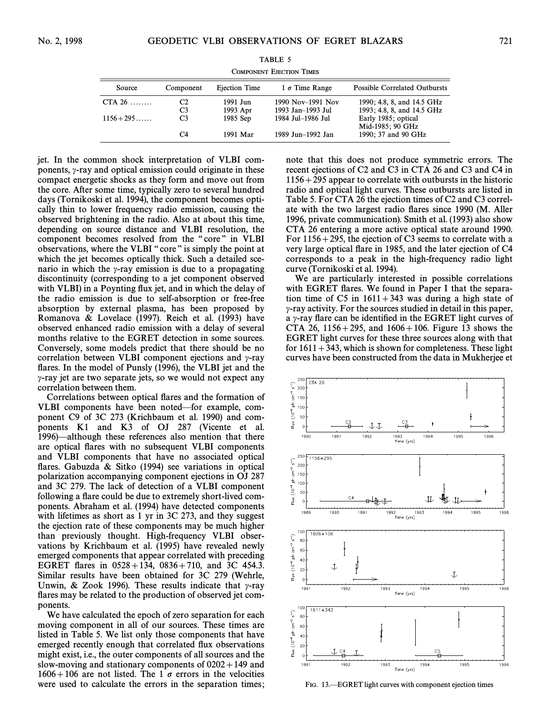| Source       | Component      | Ejection Time | $1\sigma$ Time Range | <b>Possible Correlated Outbursts</b> |
|--------------|----------------|---------------|----------------------|--------------------------------------|
| CTA $26$     | C2             | 1991 Jun      | 1990 Nov-1991 Nov    | 1990; 4.8, 8, and 14.5 GHz           |
|              | C <sub>3</sub> | 1993 Apr      | 1993 Jan-1993 Jul    | 1993; 4.8, 8, and 14.5 GHz           |
| $1156 + 295$ | C <sub>3</sub> | 1985 Sep      | 1984 Jul-1986 Jul    | Early 1985; optical                  |
|              |                |               |                      | Mid-1985; 90 GHz                     |
|              | C4             | 1991 Mar      | 1989 Jun-1992 Jan    | 1990; 37 and 90 GHz                  |

TABLE 5 COMPONENT EJECTION TIMES

jet. In the common shock interpretation of VLBI components,  $\gamma$ -ray and optical emission could originate in these compact energetic shocks as they form and move out from the core. After some time, typically zero to several hundred days (Tornikoski et al. 1994), the component becomes optically thin to lower frequency radio emission, causing the observed brightening in the radio. Also at about this time, depending on source distance and VLBI resolution, the component becomes resolved from the "core" in VLBI observations, where the VLBI "core" is simply the point at which the jet becomes optically thick. Such a detailed scenario in which the  $\gamma$ -ray emission is due to a propagating discontinuity (corresponding to a jet component observed with VLBI) in a Poynting flux jet, and in which the delay of the radio emission is due to self-absorption or free-free absorption by external plasma, has been proposed by Romanova & Lovelace (1997). Reich et al. (1993) have observed enhanced radio emission with a delay of several months relative to the EGRET detection in some sources. Conversely, some models predict that there should be no correlation between VLBI component ejections and  $\gamma$ -ray flares. In the model of Punsly (1996), the VLBI jet and the  $\gamma$ -ray jet are two separate jets, so we would not expect any correlation between them.

Correlations between optical Ñares and the formation of VLBI components have been noted—for example, component C9 of 3C 273 (Krichbaum et al. 1990) and components K1 and K3 of OJ 287 (Vicente et al. 1996)—although these references also mention that there are optical Ñares with no subsequent VLBI components and VLBI components that have no associated optical flares. Gabuzda & Sitko (1994) see variations in optical polarization accompanying component ejections in OJ 287 and 3C 279. The lack of detection of a VLBI component following a flare could be due to extremely short-lived components. Abraham et al. (1994) have detected components with lifetimes as short as 1 yr in 3C 273, and they suggest the ejection rate of these components may be much higher than previously thought. High-frequency VLBI observations by Krichbaum et al. (1995) have revealed newly emerged components that appear correlated with preceding EGRET flares in  $0528 + 134$ ,  $0836 + 710$ , and 3C 454.3. Similar results have been obtained for 3C 279 (Wehrle, Unwin, & Zook 1996). These results indicate that  $\gamma$ -ray flares may be related to the production of observed jet components.

We have calculated the epoch of zero separation for each moving component in all of our sources. These times are listed in Table 5. We list only those components that have emerged recently enough that correlated Ñux observations might exist, i.e., the outer components of all sources and the slow-moving and stationary components of  $0202+149$  and  $1606+106$  are not listed. The 1  $\sigma$  errors in the velocities were used to calculate the errors in the separation times; note that this does not produce symmetric errors. The recent ejections of C2 and C3 in CTA 26 and C3 and C4 in  $1156+295$  appear to correlate with outbursts in the historic radio and optical light curves. These outbursts are listed in Table 5. For CTA 26 the ejection times of C2 and C3 correlate with the two largest radio flares since 1990 (M. Aller 1996, private communication). Smith et al. (1993) also show CTA 26 entering a more active optical state around 1990. For  $1156+295$ , the ejection of C3 seems to correlate with a very large optical Ñare in 1985, and the later ejection of C4 corresponds to a peak in the high-frequency radio light curve (Tornikoski et al. 1994).

We are particularly interested in possible correlations with EGRET flares. We found in Paper I that the separation time of C5 in  $1611 + 343$  was during a high state of  $\gamma$ -ray activity. For the sources studied in detail in this paper, a  $\gamma$ -ray flare can be identified in the EGRET light curves of CTA 26, 1156+295, and  $1606+106$ . Figure 13 shows the EGRET light curves for these three sources along with that for  $1611 + 343$ , which is shown for completeness. These light curves have been constructed from the data in Mukherjee et



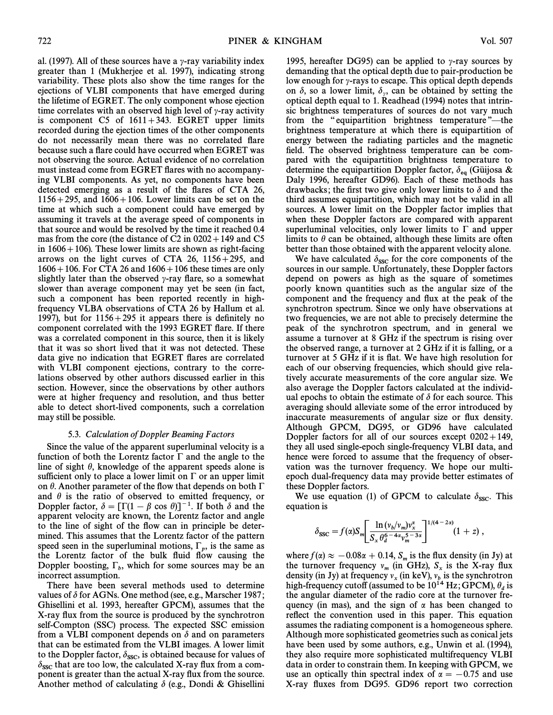al. (1997). All of these sources have a  $\gamma$ -ray variability index greater than 1 (Mukherjee et al. 1997), indicating strong variability. These plots also show the time ranges for the ejections of VLBI components that have emerged during the lifetime of EGRET. The only component whose ejection time correlates with an observed high level of  $\gamma$ -ray activity is component C5 of  $1611+343$ . EGRET upper limits recorded during the ejection times of the other components do not necessarily mean there was no correlated Ñare because such a Ñare could have occurred when EGRET was not observing the source. Actual evidence of no correlation must instead come from EGRET Ñares with no accompanying VLBI components. As yet, no components have been detected emerging as a result of the flares of CTA 26,  $1156+295$ , and  $1606+106$ . Lower limits can be set on the time at which such a component could have emerged by assuming it travels at the average speed of components in that source and would be resolved by the time it reached 0.4 mas from the core (the distance of C2 in  $0202+149$  and C5 in  $1606 + 106$ ). These lower limits are shown as right-facing arrows on the light curves of CTA 26,  $1156+295$ , and  $1606+106$ . For CTA 26 and  $1606+106$  these times are only slightly later than the observed  $\gamma$ -ray flare, so a somewhat slower than average component may yet be seen (in fact, such a component has been reported recently in highfrequency VLBA observations of CTA 26 by Hallum et al. 1997), but for  $1156+295$  it appears there is definitely no component correlated with the 1993 EGRET Ñare. If there was a correlated component in this source, then it is likely that it was so short lived that it was not detected. These data give no indication that EGRET Ñares are correlated with VLBI component ejections, contrary to the correlations observed by other authors discussed earlier in this section. However, since the observations by other authors were at higher frequency and resolution, and thus better able to detect short-lived components, such a correlation may still be possible.

### 5.3. Calculation of Doppler Beaming Factors

Since the value of the apparent superluminal velocity is a function of both the Lorentz factor  $\Gamma$  and the angle to the line of sight  $\theta$ , knowledge of the apparent speeds alone is sufficient only to place a lower limit on  $\Gamma$  or an upper limit on  $\theta$ . Another parameter of the flow that depends on both  $\Gamma$ and  $\theta$  is the ratio of observed to emitted frequency, or Doppler factor,  $\delta = [\Gamma(1 - \beta \cos \theta)]^{-1}$ . If both  $\delta$  and the apparent velocity are known, the Lorentz factor and angle to the line of sight of the flow can in principle be determined. This assumes that the Lorentz factor of the pattern speed seen in the superluminal motions,  $\Gamma_p$ , is the same as the Lorentz factor of the bulk fluid flow causing the the Lorentz factor of the bulk fluid flow causing the Doppler boosting,  $\Gamma_b$ , which for some sources may be an incorrect assumption incorrect assumption.

There have been several methods used to determine values of  $\delta$  for AGNs. One method (see, e.g., Marscher 1987; Ghisellini et al. 1993, hereafter GPCM), assumes that the X-ray Ñux from the source is produced by the synchrotron self-Compton (SSC) process. The expected SSC emission from a VLBI component depends on  $\delta$  and on parameters that can be estimated from the VLBI images. A lower limit to the Doppler factor,  $\delta_{\text{SSC}}$ , is obtained because for values of  $\delta$  that are too low, the calculated X-ray flux from a com- $\delta_{\rm SSC}$  that are too low, the calculated X-ray flux from a component is greater than the actual X-ray flux from the source. Another method of calculating  $\delta$  (e.g., Dondi & Ghisellini

1995, hereafter DG95) can be applied to  $\gamma$ -ray sources by demanding that the optical depth due to pair-production be low enough for  $\gamma$ -rays to escape. This optical depth depends on  $\delta$ , so a lower limit,  $\delta_{\gamma}$ , can be obtained by setting the optical depth equal to 1. Readhead  $(1994)$  notes that intrinsic brightness temperatures of sources do not vary much from the "equipartition brightness temperature"—the brightness temperature at which there is equipartition of energy between the radiating particles and the magnetic field. The observed brightness temperature can be compared with the equipartition brightness temperature to determine the equipartition Doppler factor,  $\delta_{eq}$  (Güijosa & Dolv. 1996, because  $\delta_{eq}$  and the point Daly 1996, hereafter GD96). Each of these methods has drawbacks; the first two give only lower limits to  $\delta$  and the third assumes equipartition, which may not be valid in all sources. A lower limit on the Doppler factor implies that when these Doppler factors are compared with apparent superluminal velocities, only lower limits to  $\Gamma$  and upper limits to  $\theta$  can be obtained, although these limits are often better than those obtained with the apparent velocity alone.

We have calculated  $\delta_{\rm ssc}$  for the core components of the sources in our sample. Unfortunately, these Doppler factors depend on powers as high as the square of sometimes poorly known quantities such as the angular size of the component and the frequency and Ñux at the peak of the synchrotron spectrum. Since we only have observations at two frequencies, we are not able to precisely determine the peak of the synchrotron spectrum, and in general we assume a turnover at 8 GHz if the spectrum is rising over the observed range, a turnover at 2 GHz if it is falling, or a turnover at 5 GHz if it is flat. We have high resolution for each of our observing frequencies, which should give relatively accurate measurements of the core angular size. We also average the Doppler factors calculated at the individual epochs to obtain the estimate of  $\delta$  for each source. This averaging should alleviate some of the error introduced by inaccurate measurements of angular size or Ñux density. Although GPCM, DG95, or GD96 have calculated Doppler factors for all of our sources except  $0202+149$ , they all used single-epoch single-frequency VLBI data, and hence were forced to assume that the frequency of observation was the turnover frequency. We hope our multiepoch dual-frequency data may provide better estimates of these Doppler factors.

We use equation (1) of GPCM to calculate  $\delta_{\rm SSC}$ . This untion is equation is

$$
\delta_{\rm SSC} = f(\alpha) S_m \left[ \frac{\ln (v_b/v_m) v_x^{\alpha}}{S_x \theta_a^{6-4\alpha} v_m^{5-3\alpha}} \right]^{1/(4-2\alpha)} (1+z) ,
$$

where  $f(\alpha) \approx -0.08\alpha + 0.14$ ,  $S_m$  is the flux density (in Jy) at where  $f(x) \approx 0.00x + 0.14$ ,  $D_m$  is the first density (in Sy) at<br>density (in UN) at frequency y (in GHz),  $S_x$  is the X-ray flux<br>density (in UN) at frequency y (in EeV) y is the symphotron the time of neglectry  $v_m$  (in STE),  $v_x$  is the synchrotron<br>density (in Jy) at frequency  $v_x$  (in keV),  $v_b$  is the synchrotron<br>high frequency qutoff (assumed to be 10<sup>14</sup> Hz: GDCM). high-frequency cutoff (assumed to be  $10^{14}$  Hz; GPCM),  $\theta_d$  is the angular diameter of the radio core at the turnover frequency (in mas), and the sign of  $\alpha$  has been changed to reflect the convention used in this paper. This equation assumes the radiating component is a homogeneous sphere. Although more sophisticated geometries such as conical jets have been used by some authors, e.g., Unwin et al. (1994), they also require more sophisticated multifrequency VLBI data in order to constrain them. In keeping with GPCM, we use an optically thin spectral index of  $\alpha = -0.75$  and use X-ray fluxes from DG95. GD96 report two correction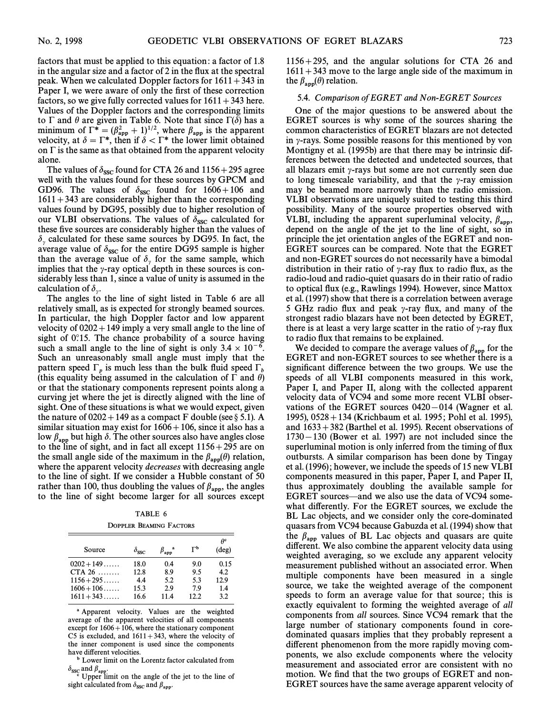factors that must be applied to this equation: a factor of 1.8 in the angular size and a factor of 2 in the flux at the spectral peak. When we calculated Doppler factors for  $1611 + 343$  in Paper I, we were aware of only the first of these correction factors, so we give fully corrected values for  $1611 + 343$  here. Values of the Doppler factors and the corresponding limits to  $\Gamma$  and  $\theta$  are given in Table 6. Note that since  $\Gamma(\delta)$  has a minimum of  $\Gamma^* = (\beta_{app}^2 + 1)^{1/2}$ , where  $\beta_{app}$  is the apparent velocity, at  $\delta = \Gamma^*$ , then if  $\delta < \Gamma^*$  the lower limit obtained on  $\Gamma$  is the same as that obtained from the apparent velocity alone.

The values of  $\delta_{\rm SSC}$  found for CTA 26 and 1156 + 295 agree well with the values found for these sources by GPCM and GD96. The values of  $\delta_{\rm SSC}$  found for  $1606 + 106$  and  $1611 + 343$  are considerably higher than the corresponding values found by DG95, possibly due to higher resolution of our VLBI observations. The values of  $\delta_{\rm SSC}$  calculated for Survey Conservations. The values of  $v_{SSC}$  calculated for these five sources are considerably higher than the values of  $\delta_{\gamma}$  calculated for these same sources by DG95. In fact, the average value of  $\delta_{\rm SSC}$  for the entire DG95 sample is higher than the average value of  $\delta$  for the same sample, which than the average value of  $\delta$ , for the same sample, which implies that the  $\gamma$ -ray optical depth in these sources is considerably less than 1, since a value of unity is assumed in the calculation of  $\delta_{\gamma}$ .

The angles to the line of sight listed in Table 6 are all relatively small, as is expected for strongly beamed sources. In particular, the high Doppler factor and low apparent velocity of  $0202+149$  imply a very small angle to the line of sight of  $0°.15$ . The chance probability of a source having such a small angle to the line of sight is only  $3.4 \times 10^{-6}$ . Such an unreasonably small angle must imply that the pattern speed  $\Gamma_p$  is much less than the bulk fluid speed  $\Gamma_b$  (this equality being assumed in the calculation of  $\Gamma$  and  $\theta$ ) or that the stationary components represent points along a curving jet where the jet is directly aligned with the line of sight. One of these situations is what we would expect, given the nature of  $0202+149$  as a compact F double (see § 5.1). A similar situation may exist for  $1606 + 106$ , since it also has a low  $\beta_{app}$  but high  $\delta$ . The other sources also have angles close to the line of sight, and in fact all except 1156+295 are on the small angle side of the maximum in the  $\beta_{app}(\theta)$  relation, where the approximate velocity decreases with decreasing angles where the apparent velocity *decreases* with decreasing angle to the line of sight. If we consider a Hubble constant of 50 rather than 100, thus doubling the values of  $\beta_{app}$ , the angles to the line of sight become larger for all sources except to the line of sight become larger for all sources except

TABLE 6 DOPPLER BEAMING FACTORS

| Source       | $\delta_{\rm SSC}$ | $\beta_{\mathtt{app}}^{\phantom{\mathtt{amp}}}$ | $\mathsf{L}_{\mathsf{p}}$ | Ac<br>$(\text{deg})$ |
|--------------|--------------------|-------------------------------------------------|---------------------------|----------------------|
| $0202 + 149$ | 18.0               | 0.4                                             | 9.0                       | 0.15                 |
| CTA $26$     | 12.8               | 8.9                                             | 9.5                       | 4.2                  |
| $1156 + 295$ | 4.4                | 5.2                                             | 5.3                       | 12.9                 |
| $1606 + 106$ | 15.3               | 2.9                                             | 7.9                       | 1.4                  |
| $1611 + 343$ | 16.6               | 11.4                                            | 12.2                      | 3.2                  |

a Apparent velocity. Values are the weighted average of the apparent velocities of all components except for  $1606 + 106$ , where the stationary component C5 is excluded, and  $1611 + 343$ , where the velocity of the inner component is used since the components have different velocities.

**b** Lower limit on the Lorentz factor calculated from

 $\delta_{\rm ssc}$  and  $\beta_{\rm app}$ .<br><sup>c</sup> Upper limit on the angle of the jet to the line of sight calculated from  $\delta_{\rm SSC}$  and  $\beta_{\rm app}$ .

 $1156+295$ , and the angular solutions for CTA 26 and  $1611+343$  move to the large angle side of the maximum in the  $\beta_{\text{app}}(\theta)$  relation.

# 5.4. Comparison of EGRET and Non-EGRET Sources

One of the major questions to be answered about the EGRET sources is why some of the sources sharing the common characteristics of EGRET blazars are not detected in  $\nu$ -rays. Some possible reasons for this mentioned by von Montigny et al. (1995b) are that there may be intrinsic differences between the detected and undetected sources, that all blazars emit  $\gamma$ -rays but some are not currently seen due to long timescale variability, and that the  $\gamma$ -ray emission may be beamed more narrowly than the radio emission. VLBI observations are uniquely suited to testing this third possibility. Many of the source properties observed with VLBI, including the apparent superluminal velocity,  $\beta_{\text{app}}$ , denend on the angle of the jet to the line of sight, so in depend on the angle of the jet to the line of sight, so in principle the jet orientation angles of the EGRET and non-EGRET sources can be compared. Note that the EGRET and non-EGRET sources do not necessarily have a bimodal distribution in their ratio of  $\gamma$ -ray flux to radio flux, as the radio-loud and radio-quiet quasars do in their ratio of radio to optical flux (e.g., Rawlings 1994). However, since Mattox et al. (1997) show that there is a correlation between average 5 GHz radio flux and peak  $\gamma$ -ray flux, and many of the strongest radio blazars have not been detected by EGRET, there is at least a very large scatter in the ratio of  $\gamma$ -ray flux to radio flux that remains to be explained.

We decided to compare the average values of  $\beta_{app}$  for the EGRET and non-EGRET sources to see whether there is a significant difference between the two groups. We use the speeds of all VLBI components measured in this work, Paper I, and Paper II, along with the collected apparent velocity data of VC94 and some more recent VLBI observations of the EGRET sources  $0420-014$  (Wagner et al. 1995),  $0528 + 134$  (Krichbaum et al. 1995; Pohl et al. 1995), and  $1633 + 382$  (Barthel et al. 1995). Recent observations of  $1730-130$  (Bower et al. 1997) are not included since the superluminal motion is only inferred from the timing of flux outbursts. A similar comparison has been done by Tingay et al. (1996); however, we include the speeds of 15 new VLBI components measured in this paper, Paper I, and Paper II, thus approximately doubling the available sample for EGRET sources—and we also use the data of VC94 somewhat differently. For the EGRET sources, we exclude the BL Lac objects, and we consider only the core-dominated quasars from VC94 because Gabuzda et al. (1994) show that the  $\beta_{\text{app}}$  values of BL Lac objects and quasars are quite different. We also combine the apparent velocity data using weighted averaging, so we exclude any apparent velocity measurement published without an associated error. When multiple components have been measured in a single source, we take the weighted average of the component speeds to form an average value for that source; this is exactly equivalent to forming the weighted average of all components from all sources. Since VC94 remark that the large number of stationary components found in coredominated quasars implies that they probably represent a different phenomenon from the more rapidly moving components, we also exclude components where the velocity measurement and associated error are consistent with no motion. We find that the two groups of EGRET and non-EGRET sources have the same average apparent velocity of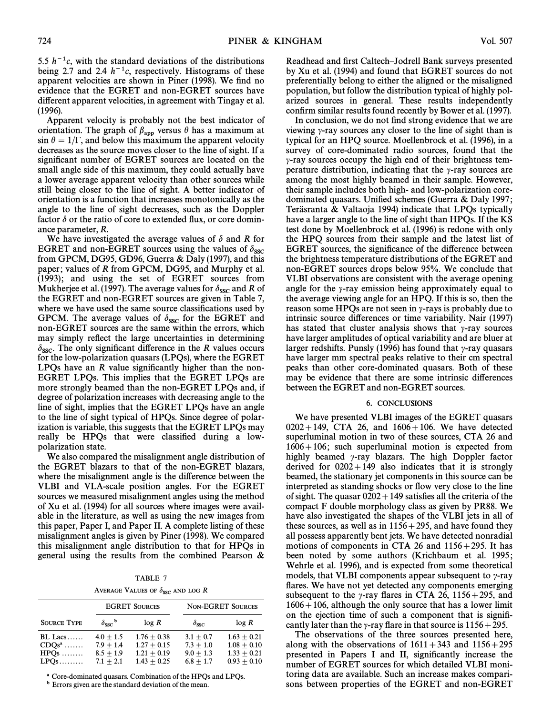5.5  $h^{-1}c$ , with the standard deviations of the distributions being 2.7 and 2.4  $h^{-1}c$ , respectively. Histograms of these apparent velocities are shown in Piner (1998). We find no evidence that the EGRET and non-EGRET sources have different apparent velocities, in agreement with Tingay et al. (1996).

Apparent velocity is probably not the best indicator of orientation. The graph of  $\beta_{app}$  versus  $\theta$  has a maximum at sin  $\theta = 1/\Gamma$ , and below this maximum the apparent velocity decreases as the source moves closer to the line of sight. If a significant number of EGRET sources are located on the small angle side of this maximum, they could actually have a lower average apparent velocity than other sources while still being closer to the line of sight. A better indicator of orientation is a function that increases monotonically as the angle to the line of sight decreases, such as the Doppler factor  $\delta$  or the ratio of core to extended flux, or core dominance parameter, R.

We have investigated the average values of  $\delta$  and R for EGRET and non-EGRET sources using the values of  $\delta_{\rm ssc}$  $\frac{1}{2}$  and the Botter sources asing the variety of  $\frac{1}{2}$  of  $\frac{1}{2}$  of  $\frac{1}{2}$  of  $\frac{1}{2}$  and this from GPCM, DG95, GD96, Guerra & Daly (1997), and this paper; values of  $R$  from GPCM, DG95, and Murphy et al. (1993); and using the set of EGRET sources from Mukherjee et al. (1997). The average values for  $\delta_{\rm ssc}$  and R of the EGRET and non-EGRET sources are given in Table 7, where we have used the same source classifications used by GPCM. The average values of  $\delta_{\rm ssc}$  for the EGRET and ST CM. The average values of  $v_{SSC}$  for the EGRET and non-EGRET sources are the same within the errors, which may simply reflect the large uncertainties in determining  $\delta_{\rm SSC}$ . The only significant difference in the R values occurs for the low-polarization quasars (LPQs), where the EGRET LPQs have an  *value significantly higher than the non-*EGRET LPQs. This implies that the EGRET LPQs are more strongly beamed than the non-EGRET LPQs and, if degree of polarization increases with decreasing angle to the line of sight, implies that the EGRET LPQs have an angle to the line of sight typical of HPQs. Since degree of polarization is variable, this suggests that the EGRET LPQs may really be HPQs that were classified during a lowpolarization state.

We also compared the misalignment angle distribution of the EGRET blazars to that of the non-EGRET blazars, where the misalignment angle is the difference between the VLBI and VLA-scale position angles. For the EGRET sources we measured misalignment angles using the method of Xu et al. (1994) for all sources where images were available in the literature, as well as using the new images from this paper, Paper I, and Paper II. A complete listing of these misalignment angles is given by Piner (1998). We compared this misalignment angle distribution to that for HPQs in general using the results from the combined Pearson &

TABLE 7

| AVERAGE VALUES OF $\delta_{\rm SSC}$ and log R |  |  |  |
|------------------------------------------------|--|--|--|
|                                                |  |  |  |

|                                          |                                                          | <b>EGRET SOURCES</b>                                             |                                                          | <b>NON-EGRET SOURCES</b>                                         |
|------------------------------------------|----------------------------------------------------------|------------------------------------------------------------------|----------------------------------------------------------|------------------------------------------------------------------|
| <b>SOURCE TYPE</b>                       | $\delta_{\rm ssc}$ <sup>b</sup>                          | log R                                                            | $\delta_{\rm ssc}$                                       | log R                                                            |
| $BL$ Lacs<br>$CDOsa$<br>$HPOs$<br>$LPOs$ | $4.0 + 1.5$<br>$7.9 + 1.4$<br>$8.5 + 1.9$<br>$7.1 + 2.1$ | $1.76 + 0.38$<br>$1.27 + 0.15$<br>$1.21 + 0.19$<br>$1.43 + 0.25$ | $3.1 + 0.7$<br>$7.3 + 1.0$<br>$9.0 + 1.3$<br>$6.8 + 1.7$ | $1.63 + 0.21$<br>$1.08 + 0.10$<br>$1.33 + 0.21$<br>$0.93 + 0.10$ |

Core-dominated quasars. Combination of the HPQs and LPQs.

<sup>b</sup> Errors given are the standard deviation of the mean.

Readhead and first Caltech–Jodrell Bank surveys presented by Xu et al.  $(1994)$  and found that EGRET sources do not preferentially belong to either the aligned or the misaligned population, but follow the distribution typical of highly polarized sources in general. These results independently confirm similar results found recently by Bower et al. (1997).

In conclusion, we do not find strong evidence that we are viewing  $\gamma$ -ray sources any closer to the line of sight than is typical for an HPO source. Moellenbrock et al. (1996), in a survey of core-dominated radio sources, found that the  $\gamma$ -ray sources occupy the high end of their brightness temperature distribution, indicating that the  $\gamma$ -ray sources are among the most highly beamed in their sample. However, their sample includes both high- and low-polarization coredominated quasars. Unified schemes (Guerra  $\&$  Daly 1997; Teräsranta & Valtaoja 1994) indicate that LPQs typically have a larger angle to the line of sight than HPQs. If the KS test done by Moellenbrock et al. (1996) is redone with only the HPQ sources from their sample and the latest list of EGRET sources, the significance of the difference between the brightness temperature distributions of the EGRET and non-EGRET sources drops below 95%. We conclude that VLBI observations are consistent with the average opening angle for the  $\gamma$ -ray emission being approximately equal to the average viewing angle for an HPQ. If this is so, then the reason some HPQs are not seen in  $\gamma$ -rays is probably due to intrinsic source differences or time variability. Nair (1997) has stated that cluster analysis shows that  $\gamma$ -ray sources have larger amplitudes of optical variability and are bluer at larger redshifts. Punsly (1996) has found that  $\gamma$ -ray quasars have larger mm spectral peaks relative to their cm spectral peaks than other core-dominated quasars. Both of these may be evidence that there are some intrinsic differences between the EGRET and non-EGRET sources.

#### 6. CONCLUSIONS

We have presented VLBI images of the EGRET quasars  $0202 + 149$ , CTA 26, and  $1606 + 106$ . We have detected superluminal motion in two of these sources, CTA 26 and  $1606+106$ ; such superluminal motion is expected from highly beamed  $\gamma$ -ray blazars. The high Doppler factor derived for  $0202+149$  also indicates that it is strongly beamed, the stationary jet components in this source can be interpreted as standing shocks or flow very close to the line of sight. The quasar  $0202 + 149$  satisfies all the criteria of the compact F double morphology class as given by PR88. We have also investigated the shapes of the VLBI jets in all of these sources, as well as in  $1156+295$ , and have found they all possess apparently bent jets. We have detected nonradial motions of components in CTA 26 and  $1156 + 295$ . It has been noted by some authors (Krichbaum et al. 1995; Wehrle et al. 1996), and is expected from some theoretical models, that VLBI components appear subsequent to  $\gamma$ -ray flares. We have not yet detected any components emerging subsequent to the y-ray flares in CTA 26, 1156 + 295, and  $1606 + 106$ , although the only source that has a lower limit on the ejection time of such a component that is signiÐcantly later than the  $\gamma$ -ray flare in that source is 1156 + 295.

The observations of the three sources presented here, along with the observations of  $1611+343$  and  $1156+295$ presented in Papers I and II, significantly increase the number of EGRET sources for which detailed VLBI monitoring data are available. Such an increase makes comparisons between properties of the EGRET and non-EGRET